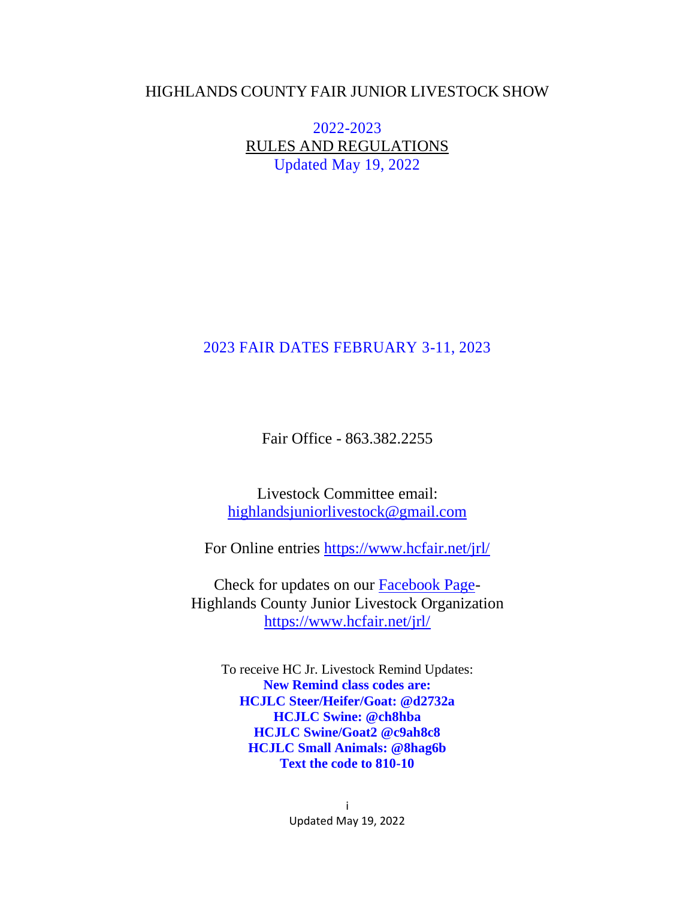### HIGHLANDS COUNTY FAIR JUNIOR LIVESTOCK SHOW

2022-2023 RULES AND REGULATIONS Updated May 19, 2022

## 2023 FAIR DATES FEBRUARY 3-11, 2023

Fair Office - 863.382.2255

Livestock Committee email: [highlandsjuniorlivestock@gmail.com](mailto:highlandsjuniorlivestock@gmail.com)

For Online entries <https://www.hcfair.net/jrl/>

Check for updates on our [Facebook Page-](https://www.facebook.com/Highlands-County-Jr-Livestock-Organization-527068767458183/?ref=aymt_homepage_panel)Highlands County Junior Livestock Organization <https://www.hcfair.net/jrl/>

To receive HC Jr. Livestock Remind Updates: **New Remind class codes are: HCJLC Steer/Heifer/Goat: @d2732a HCJLC Swine: @ch8hba HCJLC Swine/Goat2 @c9ah8c8 HCJLC Small Animals: @8hag6b Text the code to 810-10**

> i Updated May 19, 2022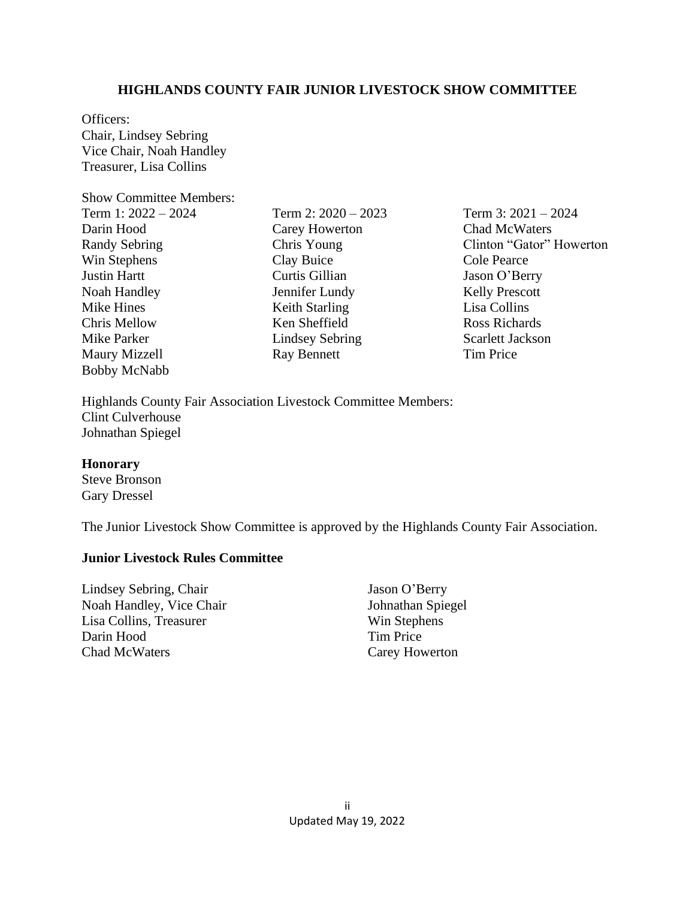#### **HIGHLANDS COUNTY FAIR JUNIOR LIVESTOCK SHOW COMMITTEE**

Officers: Chair, Lindsey Sebring Vice Chair, Noah Handley Treasurer, Lisa Collins

Show Committee Members:

| Term 1: 2022 – 2024  |
|----------------------|
| Darin Hood           |
| <b>Randy Sebring</b> |
| Win Stephens         |
| <b>Justin Hartt</b>  |
| Noah Handley         |
| Mike Hines           |
| <b>Chris Mellow</b>  |
| Mike Parker          |
| Maury Mizzell        |
| <b>Bobby McNabb</b>  |

Term 2: 2020 – 2023 Carey Howerton Chris Young Clay Buice Curtis Gillian Jennifer Lundy Keith Starling Ken Sheffield Lindsey Sebring Ray Bennett

Term 3: 2021 – 2024 Chad McWaters Clinton "Gator" Howerton Cole Pearce Jason O'Berry Kelly Prescott Lisa Collins Ross Richards Scarlett Jackson Tim Price

Highlands County Fair Association Livestock Committee Members: Clint Culverhouse Johnathan Spiegel

#### **Honorary**

Steve Bronson Gary Dressel

The Junior Livestock Show Committee is approved by the Highlands County Fair Association.

#### **Junior Livestock Rules Committee**

Lindsey Sebring, Chair Noah Handley, Vice Chair Lisa Collins, Treasurer Darin Hood Chad McWaters

Jason O'Berry Johnathan Spiegel Win Stephens Tim Price Carey Howerton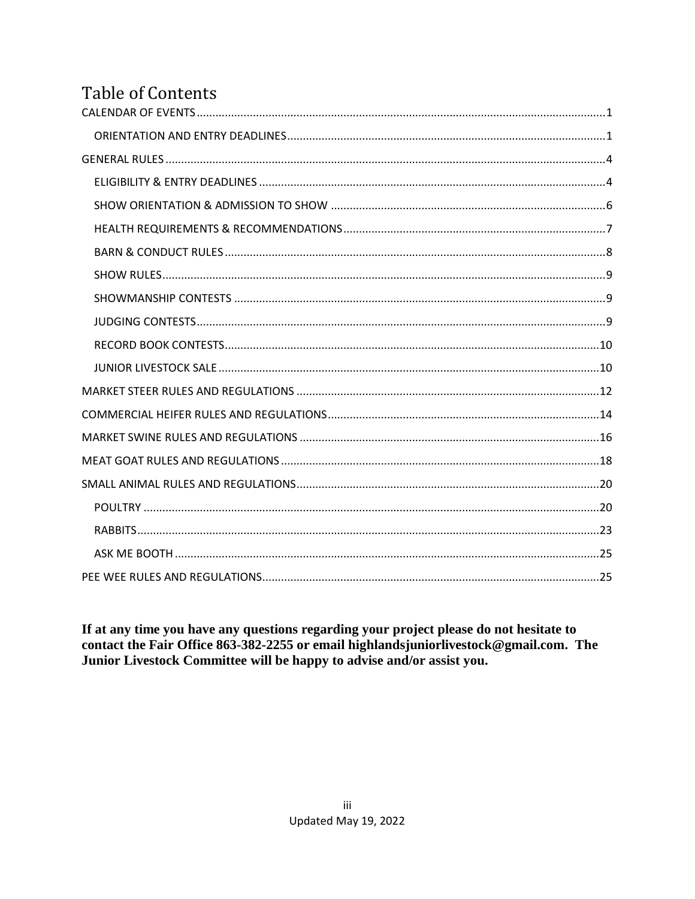# <span id="page-2-0"></span>**Table of Contents**

If at any time you have any questions regarding your project please do not hesitate to contact the Fair Office 863-382-2255 or email highlandsjuniorlivestock@gmail.com. The Junior Livestock Committee will be happy to advise and/or assist you.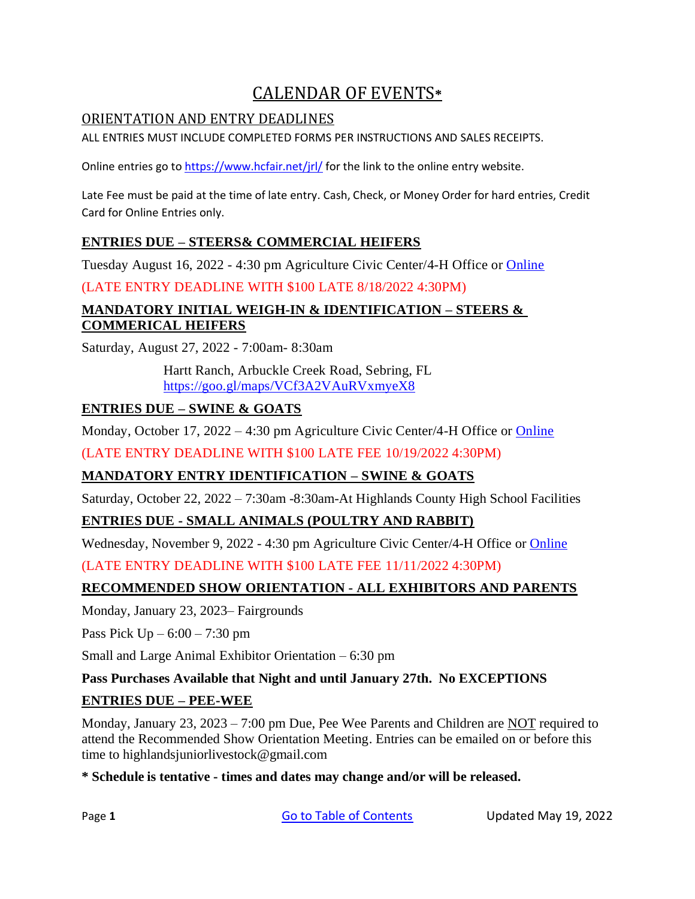# CALENDAR OF EVENTS**\***

## <span id="page-3-1"></span><span id="page-3-0"></span>ORIENTATION AND ENTRY DEADLINES

ALL ENTRIES MUST INCLUDE COMPLETED FORMS PER INSTRUCTIONS AND SALES RECEIPTS.

Online entries go to <https://www.hcfair.net/jrl/> for the link to the online entry website.

Late Fee must be paid at the time of late entry. Cash, Check, or Money Order for hard entries, Credit Card for Online Entries only.

### **ENTRIES DUE – STEERS& COMMERCIAL HEIFERS**

Tuesday August 16, 2022 - 4:30 pm Agriculture Civic Center/4-H Office or [Online](https://www.hcfair.net/jrl/)

(LATE ENTRY DEADLINE WITH \$100 LATE 8/18/2022 4:30PM)

## **MANDATORY INITIAL WEIGH-IN & IDENTIFICATION – STEERS & COMMERICAL HEIFERS**

Saturday, August 27, 2022 - 7:00am- 8:30am

Hartt Ranch, Arbuckle Creek Road, Sebring, FL <https://goo.gl/maps/VCf3A2VAuRVxmyeX8>

## **ENTRIES DUE – SWINE & GOATS**

Monday, October 17, 2022 – 4:30 pm Agriculture Civic Center/4-H Office or [Online](https://www.hcfair.net/jrl/)

(LATE ENTRY DEADLINE WITH \$100 LATE FEE 10/19/2022 4:30PM)

## **MANDATORY ENTRY IDENTIFICATION – SWINE & GOATS**

Saturday, October 22, 2022 – 7:30am -8:30am-At Highlands County High School Facilities

### **ENTRIES DUE - SMALL ANIMALS (POULTRY AND RABBIT)**

Wednesday, November 9, 2022 - 4:30 pm Agriculture Civic Center/4-H Office or [Online](https://www.hcfair.net/jrl/)

(LATE ENTRY DEADLINE WITH \$100 LATE FEE 11/11/2022 4:30PM)

## **RECOMMENDED SHOW ORIENTATION - ALL EXHIBITORS AND PARENTS**

Monday, January 23, 2023– Fairgrounds

Pass Pick  $Up - 6:00 - 7:30$  pm

Small and Large Animal Exhibitor Orientation – 6:30 pm

### **Pass Purchases Available that Night and until January 27th. No EXCEPTIONS**

## **ENTRIES DUE – PEE-WEE**

Monday, January 23, 2023 – 7:00 pm Due, Pee Wee Parents and Children are NOT required to attend the Recommended Show Orientation Meeting. Entries can be emailed on or before this time to [highlandsjuniorlivestock@gmail.com](mailto:highlandsjuniorlivestock@gmail.com)

### **\* Schedule is tentative - times and dates may change and/or will be released.**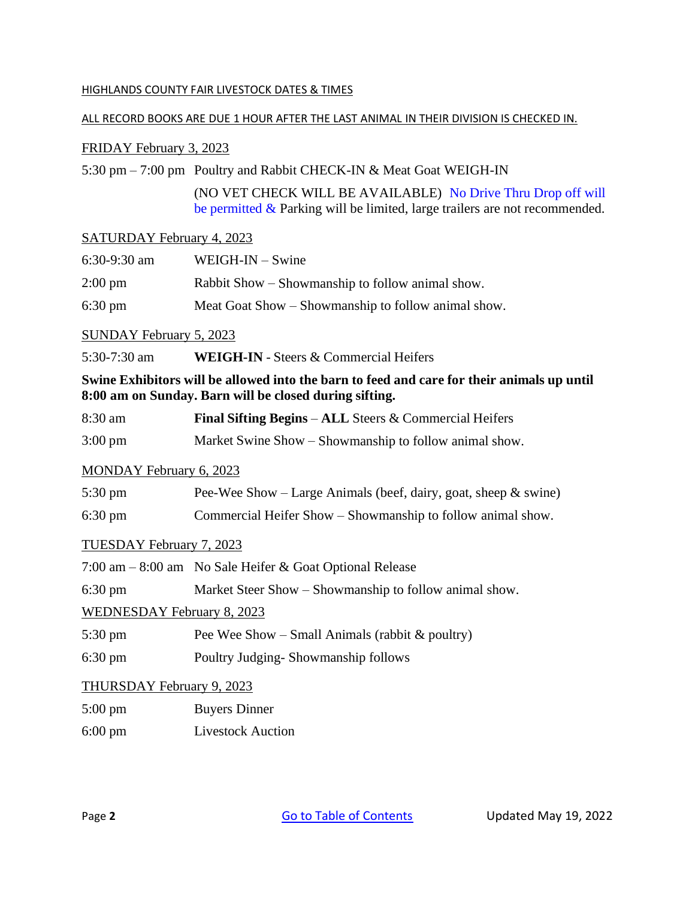#### HIGHLANDS COUNTY FAIR LIVESTOCK DATES & TIMES

#### ALL RECORD BOOKS ARE DUE 1 HOUR AFTER THE LAST ANIMAL IN THEIR DIVISION IS CHECKED IN.

#### FRIDAY February 3, 2023

5:30 pm – 7:00 pm Poultry and Rabbit CHECK-IN & Meat Goat WEIGH-IN

(NO VET CHECK WILL BE AVAILABLE) No Drive Thru Drop off will be permitted & Parking will be limited, large trailers are not recommended.

#### SATURDAY February 4, 2023

| $6:30-9:30$ am    | $WEIGH-IN - Swine$                                  |
|-------------------|-----------------------------------------------------|
| $2:00 \text{ pm}$ | Rabbit Show – Showmanship to follow animal show.    |
| $6:30 \text{ pm}$ | Meat Goat Show – Showmanship to follow animal show. |

#### SUNDAY February 5, 2023

5:30-7:30 am **WEIGH-IN** - Steers & Commercial Heifers

#### **Swine Exhibitors will be allowed into the barn to feed and care for their animals up until 8:00 am on Sunday. Barn will be closed during sifting.**

| 8:30 am | <b>Final Sifting Begins – ALL Steers &amp; Commercial Heifers</b> |
|---------|-------------------------------------------------------------------|
|         |                                                                   |

3:00 pm Market Swine Show – Showmanship to follow animal show.

#### MONDAY February 6, 2023

| $5:30 \text{ pm}$                 | Pee-Wee Show – Large Animals (beef, dairy, goat, sheep $\&$ swine) |  |  |
|-----------------------------------|--------------------------------------------------------------------|--|--|
| $6:30 \text{ pm}$                 | Commercial Heifer Show – Showmanship to follow animal show.        |  |  |
| TUESDAY February 7, 2023          |                                                                    |  |  |
|                                   | 7:00 am – 8:00 am No Sale Heifer & Goat Optional Release           |  |  |
| $6:30 \text{ pm}$                 | Market Steer Show – Showmanship to follow animal show.             |  |  |
| <b>WEDNESDAY February 8, 2023</b> |                                                                    |  |  |
| $5:30 \text{ pm}$                 | Pee Wee Show – Small Animals (rabbit $\&$ poultry)                 |  |  |
| $6:30 \text{ pm}$                 | Poultry Judging-Showmanship follows                                |  |  |
| THURSDAY February 9, 2023         |                                                                    |  |  |
| $5:00 \text{ pm}$                 | <b>Buyers Dinner</b>                                               |  |  |

6:00 pm Livestock Auction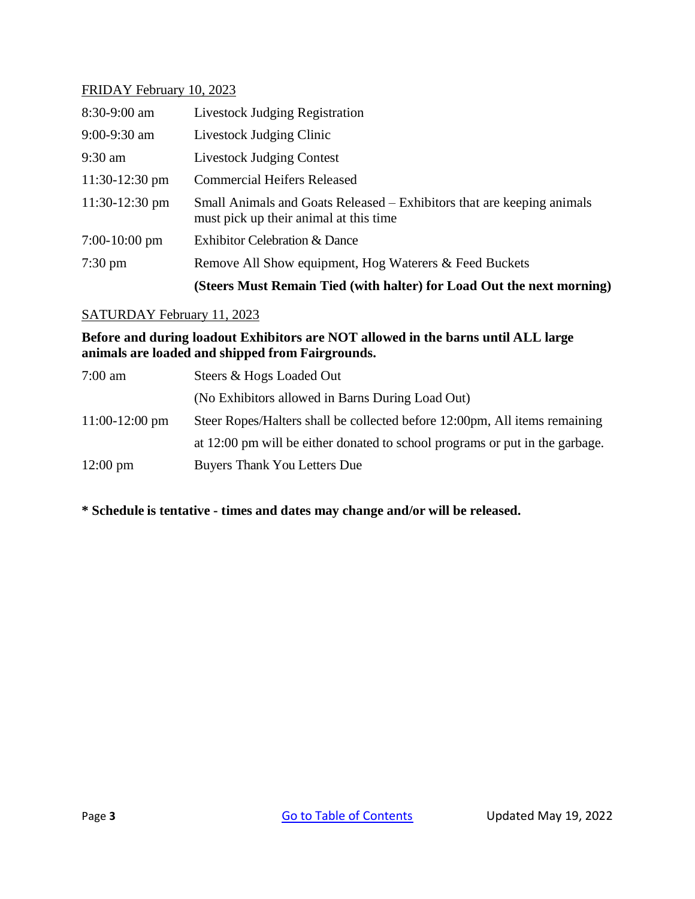### FRIDAY February 10, 2023

|                   | (Steers Must Remain Tied (with halter) for Load Out the next morning)                                            |  |
|-------------------|------------------------------------------------------------------------------------------------------------------|--|
| $7:30 \text{ pm}$ | Remove All Show equipment, Hog Waterers & Feed Buckets                                                           |  |
| $7:00-10:00$ pm   | <b>Exhibitor Celebration &amp; Dance</b>                                                                         |  |
| $11:30-12:30$ pm  | Small Animals and Goats Released – Exhibitors that are keeping animals<br>must pick up their animal at this time |  |
| $11:30-12:30$ pm  | <b>Commercial Heifers Released</b>                                                                               |  |
| $9:30$ am         | <b>Livestock Judging Contest</b>                                                                                 |  |
| $9:00-9:30$ am    | Livestock Judging Clinic                                                                                         |  |
| 8:30-9:00 am      | <b>Livestock Judging Registration</b>                                                                            |  |
|                   |                                                                                                                  |  |

#### SATURDAY February 11, 2023

**Before and during loadout Exhibitors are NOT allowed in the barns until ALL large animals are loaded and shipped from Fairgrounds.**

| $7:00$ am          | Steers & Hogs Loaded Out                                                     |  |
|--------------------|------------------------------------------------------------------------------|--|
|                    | (No Exhibitors allowed in Barns During Load Out)                             |  |
| $11:00-12:00$ pm   | Steer Ropes/Halters shall be collected before 12:00pm, All items remaining   |  |
|                    | at 12:00 pm will be either donated to school programs or put in the garbage. |  |
| $12:00 \text{ pm}$ | <b>Buyers Thank You Letters Due</b>                                          |  |

<span id="page-5-0"></span>**\* Schedule is tentative - times and dates may change and/or will be released.**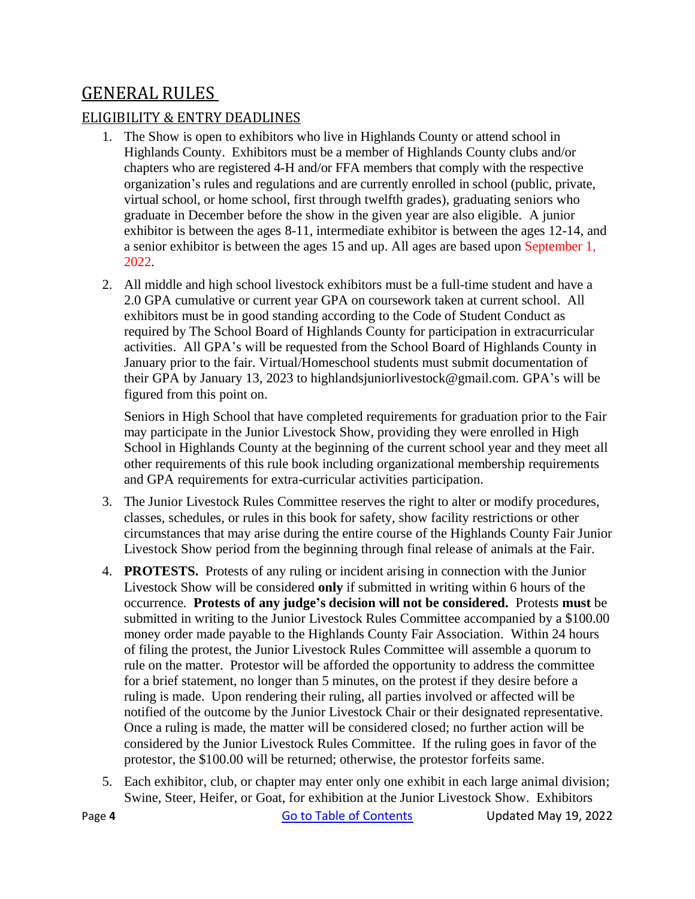# GENERAL RULES

## <span id="page-6-0"></span>ELIGIBILITY & ENTRY DEADLINES

- 1. The Show is open to exhibitors who live in Highlands County or attend school in Highlands County. Exhibitors must be a member of Highlands County clubs and/or chapters who are registered 4-H and/or FFA members that comply with the respective organization's rules and regulations and are currently enrolled in school (public, private, virtual school, or home school, first through twelfth grades), graduating seniors who graduate in December before the show in the given year are also eligible. A junior exhibitor is between the ages 8-11, intermediate exhibitor is between the ages 12-14, and a senior exhibitor is between the ages 15 and up. All ages are based upon September 1, 2022.
- 2. All middle and high school livestock exhibitors must be a full-time student and have a 2.0 GPA cumulative or current year GPA on coursework taken at current school. All exhibitors must be in good standing according to the Code of Student Conduct as required by The School Board of Highlands County for participation in extracurricular activities. All GPA's will be requested from the School Board of Highlands County in January prior to the fair. Virtual/Homeschool students must submit documentation of their GPA by January 13, 2023 to highlandsjuniorlivestock@gmail.com. GPA's will be figured from this point on.

Seniors in High School that have completed requirements for graduation prior to the Fair may participate in the Junior Livestock Show, providing they were enrolled in High School in Highlands County at the beginning of the current school year and they meet all other requirements of this rule book including organizational membership requirements and GPA requirements for extra-curricular activities participation.

- 3. The Junior Livestock Rules Committee reserves the right to alter or modify procedures, classes, schedules, or rules in this book for safety, show facility restrictions or other circumstances that may arise during the entire course of the Highlands County Fair Junior Livestock Show period from the beginning through final release of animals at the Fair.
- 4. **PROTESTS.** Protests of any ruling or incident arising in connection with the Junior Livestock Show will be considered **only** if submitted in writing within 6 hours of the occurrence. **Protests of any judge's decision will not be considered.** Protests **must** be submitted in writing to the Junior Livestock Rules Committee accompanied by a \$100.00 money order made payable to the Highlands County Fair Association. Within 24 hours of filing the protest, the Junior Livestock Rules Committee will assemble a quorum to rule on the matter. Protestor will be afforded the opportunity to address the committee for a brief statement, no longer than 5 minutes, on the protest if they desire before a ruling is made. Upon rendering their ruling, all parties involved or affected will be notified of the outcome by the Junior Livestock Chair or their designated representative. Once a ruling is made, the matter will be considered closed; no further action will be considered by the Junior Livestock Rules Committee. If the ruling goes in favor of the protestor, the \$100.00 will be returned; otherwise, the protestor forfeits same.
- 5. Each exhibitor, club, or chapter may enter only one exhibit in each large animal division; Swine, Steer, Heifer, or Goat, for exhibition at the Junior Livestock Show. Exhibitors

Page 4 **[Go to Table of Contents](#page-2-0)** Updated May 19, 2022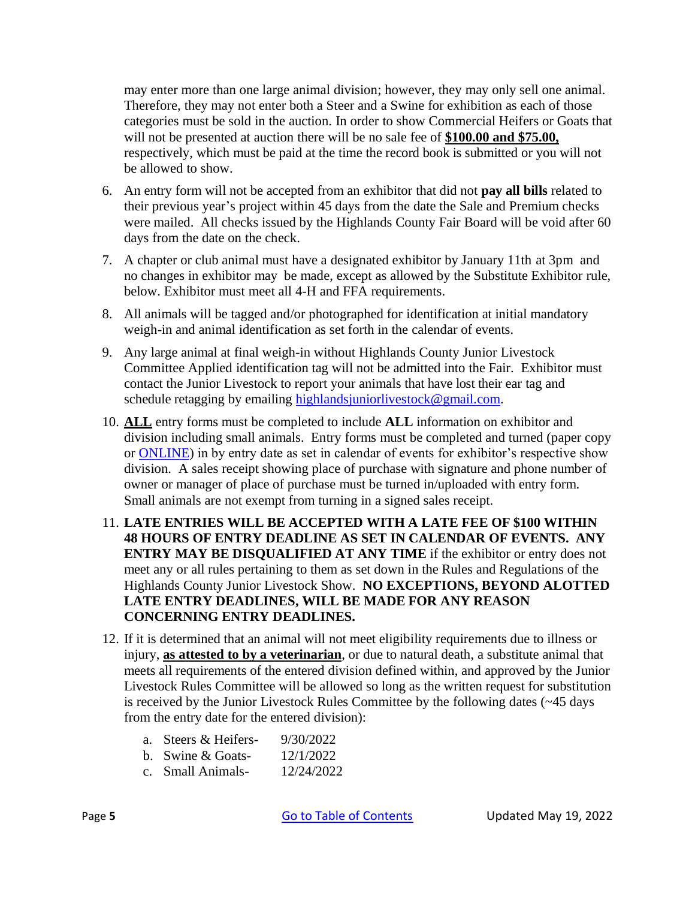may enter more than one large animal division; however, they may only sell one animal. Therefore, they may not enter both a Steer and a Swine for exhibition as each of those categories must be sold in the auction. In order to show Commercial Heifers or Goats that will not be presented at auction there will be no sale fee of **\$100.00 and \$75.00,** respectively, which must be paid at the time the record book is submitted or you will not be allowed to show.

- 6. An entry form will not be accepted from an exhibitor that did not **pay all bills** related to their previous year's project within 45 days from the date the Sale and Premium checks were mailed. All checks issued by the Highlands County Fair Board will be void after 60 days from the date on the check.
- 7. A chapter or club animal must have a designated exhibitor by January 11th at 3pm and no changes in exhibitor may be made, except as allowed by the Substitute Exhibitor rule, below. Exhibitor must meet all 4-H and FFA requirements.
- 8. All animals will be tagged and/or photographed for identification at initial mandatory weigh-in and animal identification as set forth in the calendar of events.
- 9. Any large animal at final weigh-in without Highlands County Junior Livestock Committee Applied identification tag will not be admitted into the Fair. Exhibitor must contact the Junior Livestock to report your animals that have lost their ear tag and schedule retagging by emailing [highlandsjuniorlivestock@gmail.com.](mailto:highlandsjuniorlivestock@gmail.com)
- 10. **ALL** entry forms must be completed to include **ALL** information on exhibitor and division including small animals. Entry forms must be completed and turned (paper copy or [ONLINE\)](https://www.hcfair.net/jrl/) in by entry date as set in calendar of events for exhibitor's respective show division. A sales receipt showing place of purchase with signature and phone number of owner or manager of place of purchase must be turned in/uploaded with entry form. Small animals are not exempt from turning in a signed sales receipt.
- 11. **LATE ENTRIES WILL BE ACCEPTED WITH A LATE FEE OF \$100 WITHIN 48 HOURS OF ENTRY DEADLINE AS SET IN CALENDAR OF EVENTS. ANY ENTRY MAY BE DISQUALIFIED AT ANY TIME** if the exhibitor or entry does not meet any or all rules pertaining to them as set down in the Rules and Regulations of the Highlands County Junior Livestock Show. **NO EXCEPTIONS, BEYOND ALOTTED LATE ENTRY DEADLINES, WILL BE MADE FOR ANY REASON CONCERNING ENTRY DEADLINES.**
- 12. If it is determined that an animal will not meet eligibility requirements due to illness or injury, **as attested to by a veterinarian**, or due to natural death, a substitute animal that meets all requirements of the entered division defined within, and approved by the Junior Livestock Rules Committee will be allowed so long as the written request for substitution is received by the Junior Livestock Rules Committee by the following dates (~45 days from the entry date for the entered division):
	- a. Steers & Heifers- 9/30/2022
	- b. Swine & Goats- 12/1/2022
	- c. Small Animals- 12/24/2022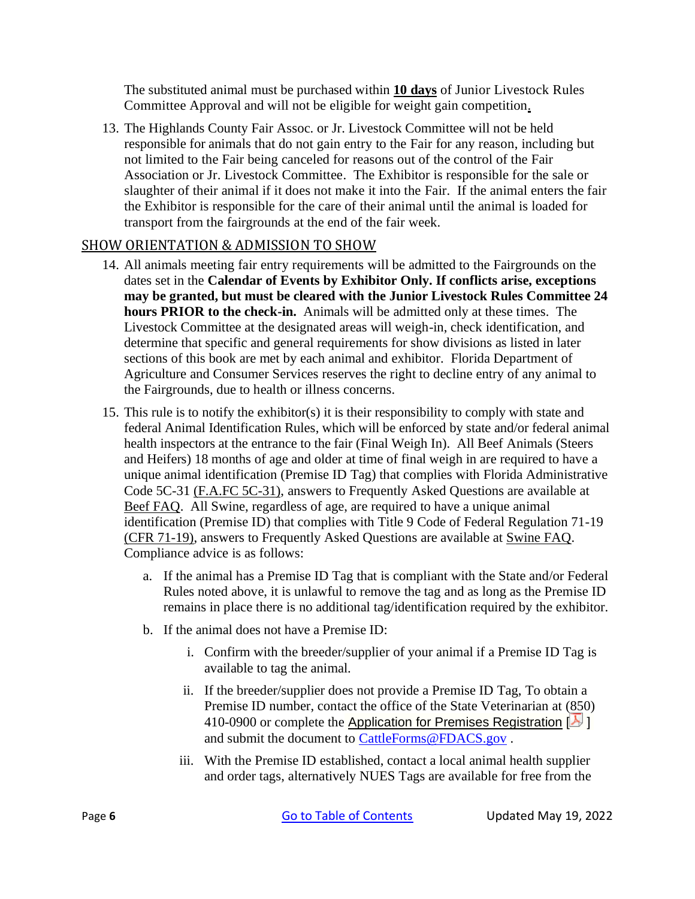The substituted animal must be purchased within **10 days** of Junior Livestock Rules Committee Approval and will not be eligible for weight gain competition.

13. The Highlands County Fair Assoc. or Jr. Livestock Committee will not be held responsible for animals that do not gain entry to the Fair for any reason, including but not limited to the Fair being canceled for reasons out of the control of the Fair Association or Jr. Livestock Committee. The Exhibitor is responsible for the sale or slaughter of their animal if it does not make it into the Fair. If the animal enters the fair the Exhibitor is responsible for the care of their animal until the animal is loaded for transport from the fairgrounds at the end of the fair week.

### <span id="page-8-0"></span>SHOW ORIENTATION & ADMISSION TO SHOW

- 14. All animals meeting fair entry requirements will be admitted to the Fairgrounds on the dates set in the **Calendar of Events by Exhibitor Only. If conflicts arise, exceptions may be granted, but must be cleared with the Junior Livestock Rules Committee 24 hours PRIOR to the check-in.** Animals will be admitted only at these times. The Livestock Committee at the designated areas will weigh-in, check identification, and determine that specific and general requirements for show divisions as listed in later sections of this book are met by each animal and exhibitor. Florida Department of Agriculture and Consumer Services reserves the right to decline entry of any animal to the Fairgrounds, due to health or illness concerns.
- 15. This rule is to notify the exhibitor(s) it is their responsibility to comply with state and federal Animal Identification Rules, which will be enforced by state and/or federal animal health inspectors at the entrance to the fair (Final Weigh In). All Beef Animals (Steers and Heifers) 18 months of age and older at time of final weigh in are required to have a unique animal identification (Premise ID Tag) that complies with Florida Administrative Code 5C-31 [\(F.A.FC 5C-31\),](https://www.flrules.org/gateway/readFile.asp?sid=0&tid=0&cno=5C-31&caid=872241&type=4&file=5C-31.doc) answers to Frequently Asked Questions are available at [Beef FAQ.](https://www.freshfromflorida.com/Business-Services/Animals/Cattle-Bovine/Florida-Cattle-Identification/Premises-Registration-FAQ) All Swine, regardless of age, are required to have a unique animal identification (Premise ID) that complies with Title 9 Code of Federal Regulation 71-19 [\(CFR 71-19\),](https://www.gpo.gov/fdsys/pkg/CFR-2011-title9-vol1/pdf/CFR-2011-title9-vol1-sec71-19.pdf) answers to Frequently Asked Questions are available at [Swine FAQ.](https://www.freshfromflorida.com/Business-Services/Animals/Pigs-Swine/Official-Identification-for-Swine-at-Fairs-FAQ) Compliance advice is as follows:
	- a. If the animal has a Premise ID Tag that is compliant with the State and/or Federal Rules noted above, it is unlawful to remove the tag and as long as the Premise ID remains in place there is no additional tag/identification required by the exhibitor.
	- b. If the animal does not have a Premise ID:
		- i. Confirm with the breeder/supplier of your animal if a Premise ID Tag is available to tag the animal.
		- ii. If the breeder/supplier does not provide a Premise ID Tag, To obtain a Premise ID number, contact the office of the State Veterinarian at (850) 410-0900 or complete the Application for Premises [Registration](https://forms.freshfromflorida.com/09215.pdf)  $[**A**]$ and submit the document to [CattleForms@FDACS.gov](mailto:CattleForms@FDACS.gov) .
		- iii. With the Premise ID established, contact a local animal health supplier and order tags, alternatively NUES Tags are available for free from the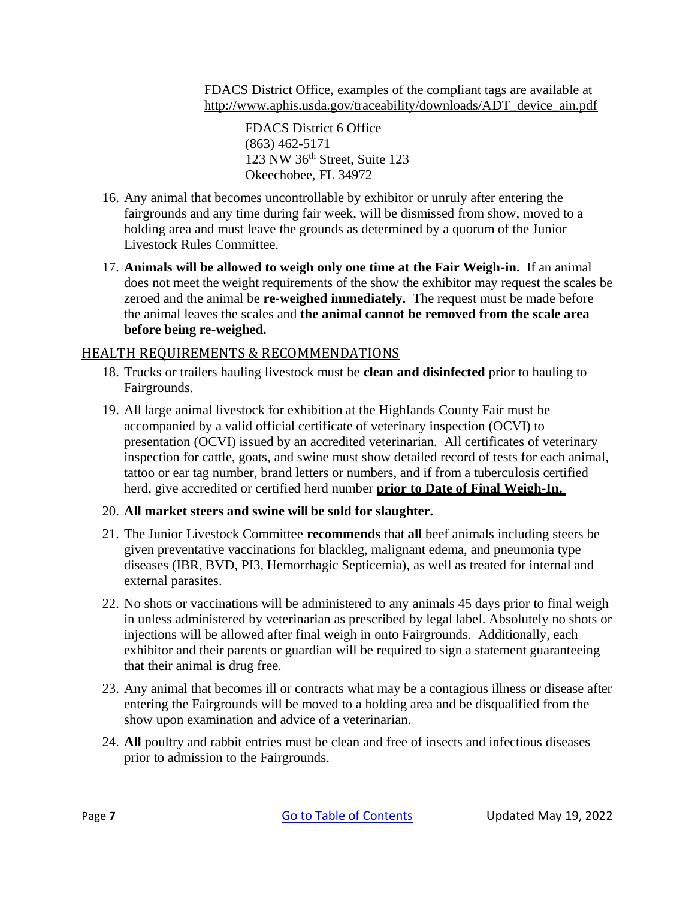FDACS District Office, examples of the compliant tags are available at [http://www.aphis.usda.gov/traceability/downloads/ADT\\_device\\_ain.pdf](http://www.aphis.usda.gov/traceability/downloads/ADT_device_ain.pdf)

FDACS District 6 Office (863) 462-5171 123 NW 36th Street, Suite 123 Okeechobee, FL 34972

- 16. Any animal that becomes uncontrollable by exhibitor or unruly after entering the fairgrounds and any time during fair week, will be dismissed from show, moved to a holding area and must leave the grounds as determined by a quorum of the Junior Livestock Rules Committee.
- 17. **Animals will be allowed to weigh only one time at the Fair Weigh-in.** If an animal does not meet the weight requirements of the show the exhibitor may request the scales be zeroed and the animal be **re-weighed immediately.** The request must be made before the animal leaves the scales and **the animal cannot be removed from the scale area before being re-weighed.**

### <span id="page-9-0"></span>HEALTH REQUIREMENTS & RECOMMENDATIONS

- 18. Trucks or trailers hauling livestock must be **clean and disinfected** prior to hauling to Fairgrounds.
- 19. All large animal livestock for exhibition at the Highlands County Fair must be accompanied by a valid official certificate of veterinary inspection (OCVI) to presentation (OCVI) issued by an accredited veterinarian. All certificates of veterinary inspection for cattle, goats, and swine must show detailed record of tests for each animal, tattoo or ear tag number, brand letters or numbers, and if from a tuberculosis certified herd, give accredited or certified herd number **prior to Date of Final Weigh-In.**

### 20. **All market steers and swine will be sold for slaughter.**

- 21. The Junior Livestock Committee **recommends** that **all** beef animals including steers be given preventative vaccinations for blackleg, malignant edema, and pneumonia type diseases (IBR, BVD, PI3, Hemorrhagic Septicemia), as well as treated for internal and external parasites.
- 22. No shots or vaccinations will be administered to any animals 45 days prior to final weigh in unless administered by veterinarian as prescribed by legal label. Absolutely no shots or injections will be allowed after final weigh in onto Fairgrounds. Additionally, each exhibitor and their parents or guardian will be required to sign a statement guaranteeing that their animal is drug free.
- 23. Any animal that becomes ill or contracts what may be a contagious illness or disease after entering the Fairgrounds will be moved to a holding area and be disqualified from the show upon examination and advice of a veterinarian.
- 24. **All** poultry and rabbit entries must be clean and free of insects and infectious diseases prior to admission to the Fairgrounds.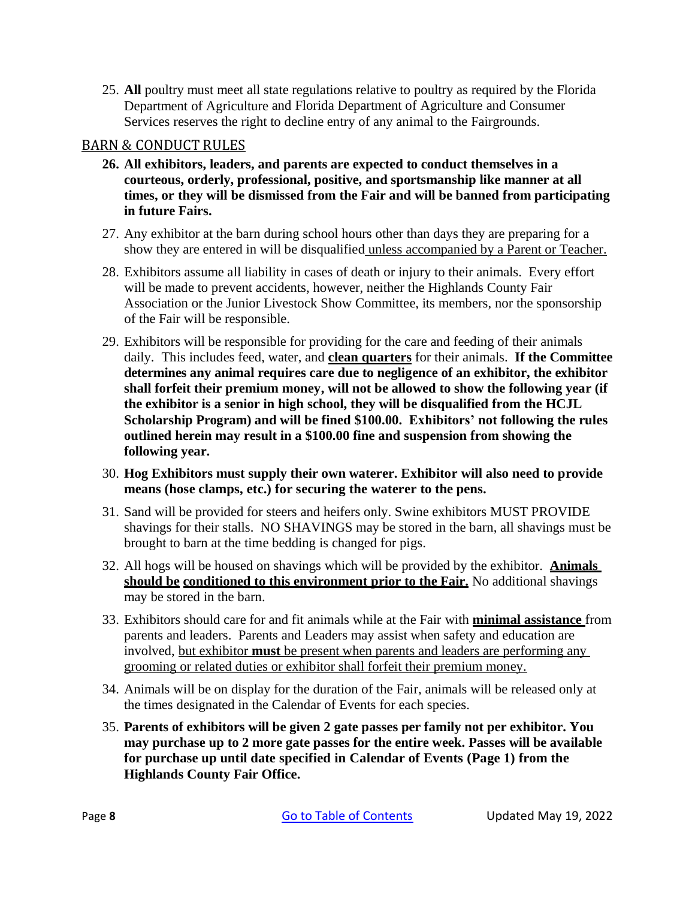25. **All** poultry must meet all state regulations relative to poultry as required by the Florida Department of Agriculture and Florida Department of Agriculture and Consumer Services reserves the right to decline entry of any animal to the Fairgrounds.

### <span id="page-10-0"></span>BARN & CONDUCT RULES

- **26. All exhibitors, leaders, and parents are expected to conduct themselves in a courteous, orderly, professional, positive, and sportsmanship like manner at all times, or they will be dismissed from the Fair and will be banned from participating in future Fairs.**
- 27. Any exhibitor at the barn during school hours other than days they are preparing for a show they are entered in will be disqualified unless accompanied by a Parent or Teacher.
- 28. Exhibitors assume all liability in cases of death or injury to their animals. Every effort will be made to prevent accidents, however, neither the Highlands County Fair Association or the Junior Livestock Show Committee, its members, nor the sponsorship of the Fair will be responsible.
- 29. Exhibitors will be responsible for providing for the care and feeding of their animals daily. This includes feed, water, and **clean quarters** for their animals. **If the Committee determines any animal requires care due to negligence of an exhibitor, the exhibitor shall forfeit their premium money, will not be allowed to show the following year (if the exhibitor is a senior in high school, they will be disqualified from the HCJL Scholarship Program) and will be fined \$100.00. Exhibitors' not following the rules outlined herein may result in a \$100.00 fine and suspension from showing the following year.**
- 30. **Hog Exhibitors must supply their own waterer. Exhibitor will also need to provide means (hose clamps, etc.) for securing the waterer to the pens.**
- 31. Sand will be provided for steers and heifers only. Swine exhibitors MUST PROVIDE shavings for their stalls. NO SHAVINGS may be stored in the barn, all shavings must be brought to barn at the time bedding is changed for pigs.
- 32. All hogs will be housed on shavings which will be provided by the exhibitor. **Animals should be conditioned to this environment prior to the Fair.** No additional shavings may be stored in the barn.
- 33. Exhibitors should care for and fit animals while at the Fair with **minimal assistance** from parents and leaders. Parents and Leaders may assist when safety and education are involved, but exhibitor **must** be present when parents and leaders are performing any grooming or related duties or exhibitor shall forfeit their premium money.
- 34. Animals will be on display for the duration of the Fair, animals will be released only at the times designated in the Calendar of Events for each species.
- 35. **Parents of exhibitors will be given 2 gate passes per family not per exhibitor. You may purchase up to 2 more gate passes for the entire week. Passes will be available for purchase up until date specified in Calendar of Events (Page 1) from the Highlands County Fair Office.**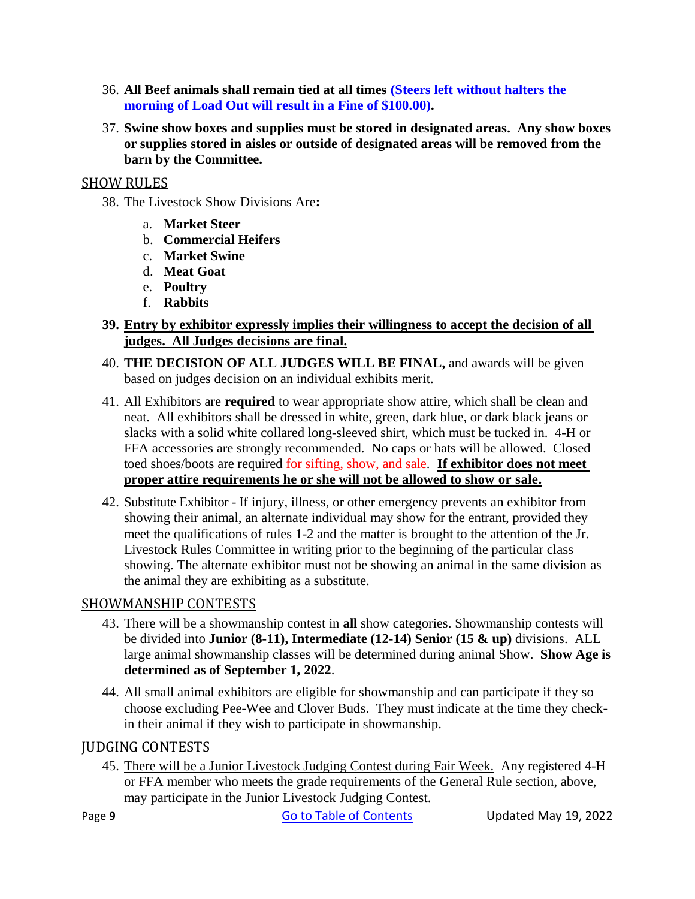- 36. **All Beef animals shall remain tied at all times (Steers left without halters the morning of Load Out will result in a Fine of \$100.00).**
- 37. **Swine show boxes and supplies must be stored in designated areas. Any show boxes or supplies stored in aisles or outside of designated areas will be removed from the barn by the Committee.**

### <span id="page-11-0"></span>SHOW RULES

- 38. The Livestock Show Divisions Are**:**
	- a. **Market Steer**
	- b. **Commercial Heifers**
	- c. **Market Swine**
	- d. **Meat Goat**
	- e. **Poultry**
	- f. **Rabbits**
- **39. Entry by exhibitor expressly implies their willingness to accept the decision of all judges. All Judges decisions are final.**
- 40. **THE DECISION OF ALL JUDGES WILL BE FINAL,** and awards will be given based on judges decision on an individual exhibits merit.
- 41. All Exhibitors are **required** to wear appropriate show attire, which shall be clean and neat. All exhibitors shall be dressed in white, green, dark blue, or dark black jeans or slacks with a solid white collared long-sleeved shirt, which must be tucked in. 4-H or FFA accessories are strongly recommended. No caps or hats will be allowed. Closed toed shoes/boots are required for sifting, show, and sale. **If exhibitor does not meet proper attire requirements he or she will not be allowed to show or sale.**
- 42. Substitute Exhibitor If injury, illness, or other emergency prevents an exhibitor from showing their animal, an alternate individual may show for the entrant, provided they meet the qualifications of rules 1-2 and the matter is brought to the attention of the Jr. Livestock Rules Committee in writing prior to the beginning of the particular class showing. The alternate exhibitor must not be showing an animal in the same division as the animal they are exhibiting as a substitute.

## <span id="page-11-1"></span>SHOWMANSHIP CONTESTS

- 43. There will be a showmanship contest in **all** show categories. Showmanship contests will be divided into **Junior (8-11), Intermediate (12-14) Senior (15 & up)** divisions. ALL large animal showmanship classes will be determined during animal Show. **Show Age is determined as of September 1, 2022**.
- 44. All small animal exhibitors are eligible for showmanship and can participate if they so choose excluding Pee-Wee and Clover Buds. They must indicate at the time they checkin their animal if they wish to participate in showmanship.

### <span id="page-11-2"></span>JUDGING CONTESTS

45. There will be a Junior Livestock Judging Contest during Fair Week. Any registered 4-H or FFA member who meets the grade requirements of the General Rule section, above, may participate in the Junior Livestock Judging Contest.

Page 9 **[Go to Table of Contents](#page-2-0)** Updated May 19, 2022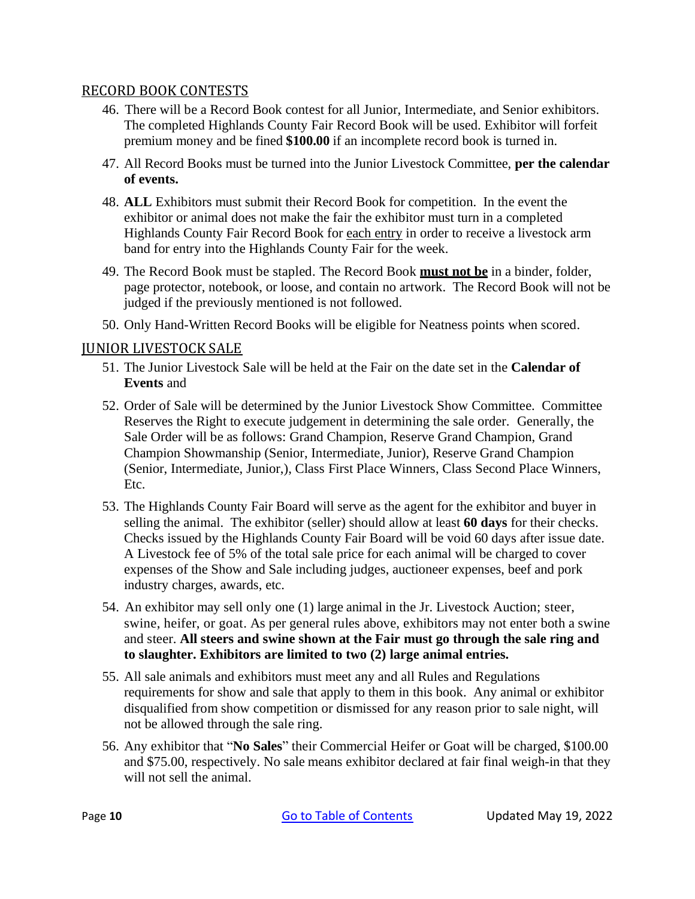#### <span id="page-12-0"></span>RECORD BOOK CONTESTS

- 46. There will be a Record Book contest for all Junior, Intermediate, and Senior exhibitors. The completed Highlands County Fair Record Book will be used. Exhibitor will forfeit premium money and be fined **\$100.00** if an incomplete record book is turned in.
- 47. All Record Books must be turned into the Junior Livestock Committee, **per the calendar of events.**
- 48. **ALL** Exhibitors must submit their Record Book for competition. In the event the exhibitor or animal does not make the fair the exhibitor must turn in a completed Highlands County Fair Record Book for each entry in order to receive a livestock arm band for entry into the Highlands County Fair for the week.
- 49. The Record Book must be stapled. The Record Book **must not be** in a binder, folder, page protector, notebook, or loose, and contain no artwork. The Record Book will not be judged if the previously mentioned is not followed.
- 50. Only Hand-Written Record Books will be eligible for Neatness points when scored.

### <span id="page-12-1"></span>JUNIOR LIVESTOCK SALE

- 51. The Junior Livestock Sale will be held at the Fair on the date set in the **Calendar of Events** and
- 52. Order of Sale will be determined by the Junior Livestock Show Committee. Committee Reserves the Right to execute judgement in determining the sale order. Generally, the Sale Order will be as follows: Grand Champion, Reserve Grand Champion, Grand Champion Showmanship (Senior, Intermediate, Junior), Reserve Grand Champion (Senior, Intermediate, Junior,), Class First Place Winners, Class Second Place Winners, Etc.
- 53. The Highlands County Fair Board will serve as the agent for the exhibitor and buyer in selling the animal. The exhibitor (seller) should allow at least **60 days** for their checks. Checks issued by the Highlands County Fair Board will be void 60 days after issue date. A Livestock fee of 5% of the total sale price for each animal will be charged to cover expenses of the Show and Sale including judges, auctioneer expenses, beef and pork industry charges, awards, etc.
- 54. An exhibitor may sell only one (1) large animal in the Jr. Livestock Auction; steer, swine, heifer, or goat. As per general rules above, exhibitors may not enter both a swine and steer. **All steers and swine shown at the Fair must go through the sale ring and to slaughter. Exhibitors are limited to two (2) large animal entries.**
- 55. All sale animals and exhibitors must meet any and all Rules and Regulations requirements for show and sale that apply to them in this book. Any animal or exhibitor disqualified from show competition or dismissed for any reason prior to sale night, will not be allowed through the sale ring.
- 56. Any exhibitor that "**No Sales**" their Commercial Heifer or Goat will be charged, \$100.00 and \$75.00, respectively. No sale means exhibitor declared at fair final weigh-in that they will not sell the animal.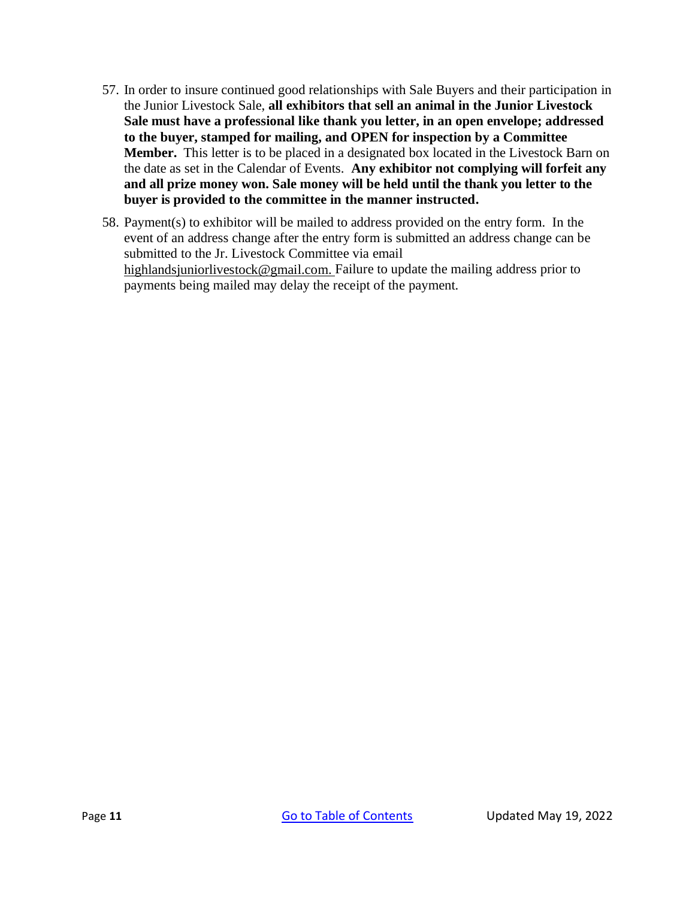- 57. In order to insure continued good relationships with Sale Buyers and their participation in the Junior Livestock Sale, **all exhibitors that sell an animal in the Junior Livestock Sale must have a professional like thank you letter, in an open envelope; addressed to the buyer, stamped for mailing, and OPEN for inspection by a Committee Member.** This letter is to be placed in a designated box located in the Livestock Barn on the date as set in the Calendar of Events. **Any exhibitor not complying will forfeit any and all prize money won. Sale money will be held until the thank you letter to the buyer is provided to the committee in the manner instructed.**
- 58. Payment(s) to exhibitor will be mailed to address provided on the entry form. In the event of an address change after the entry form is submitted an address change can be submitted to the Jr. Livestock Committee via email [highlandsjuniorlivestock@gmail.com.](mailto:highlandsjuniorlivestock@gmail.com) Failure to update the mailing address prior to payments being mailed may delay the receipt of the payment.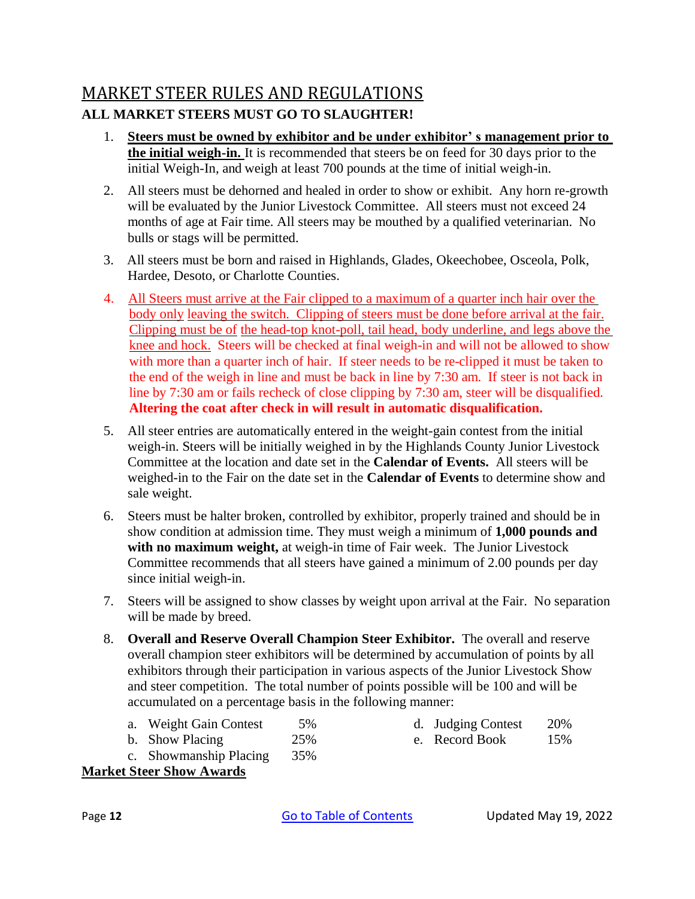# <span id="page-14-0"></span>MARKET STEER RULES AND REGULATIONS **ALL MARKET STEERS MUST GO TO SLAUGHTER!**

- 1. **Steers must be owned by exhibitor and be under exhibitor' s management prior to the initial weigh-in.** It is recommended that steers be on feed for 30 days prior to the initial Weigh-In, and weigh at least 700 pounds at the time of initial weigh-in.
- 2. All steers must be dehorned and healed in order to show or exhibit. Any horn re-growth will be evaluated by the Junior Livestock Committee. All steers must not exceed 24 months of age at Fair time. All steers may be mouthed by a qualified veterinarian. No bulls or stags will be permitted.
- 3. All steers must be born and raised in Highlands, Glades, Okeechobee, Osceola, Polk, Hardee, Desoto, or Charlotte Counties.
- 4. All Steers must arrive at the Fair clipped to a maximum of a quarter inch hair over the body only leaving the switch. Clipping of steers must be done before arrival at the fair. Clipping must be of the head-top knot-poll, tail head, body underline, and legs above the knee and hock. Steers will be checked at final weigh-in and will not be allowed to show with more than a quarter inch of hair. If steer needs to be re-clipped it must be taken to the end of the weigh in line and must be back in line by 7:30 am. If steer is not back in line by 7:30 am or fails recheck of close clipping by 7:30 am, steer will be disqualified. **Altering the coat after check in will result in automatic disqualification.**
- 5. All steer entries are automatically entered in the weight-gain contest from the initial weigh-in. Steers will be initially weighed in by the Highlands County Junior Livestock Committee at the location and date set in the **Calendar of Events.** All steers will be weighed-in to the Fair on the date set in the **Calendar of Events** to determine show and sale weight.
- 6. Steers must be halter broken, controlled by exhibitor, properly trained and should be in show condition at admission time. They must weigh a minimum of **1,000 pounds and with no maximum weight,** at weigh-in time of Fair week. The Junior Livestock Committee recommends that all steers have gained a minimum of 2.00 pounds per day since initial weigh-in.
- 7. Steers will be assigned to show classes by weight upon arrival at the Fair. No separation will be made by breed.
- 8. **Overall and Reserve Overall Champion Steer Exhibitor.** The overall and reserve overall champion steer exhibitors will be determined by accumulation of points by all exhibitors through their participation in various aspects of the Junior Livestock Show and steer competition. The total number of points possible will be 100 and will be accumulated on a percentage basis in the following manner:
	- a. Weight Gain Contest 5% b. Show Placing 25%
- d. Judging Contest 20% e. Record Book 15%
- c. Showmanship Placing 35%

## **Market Steer Show Awards**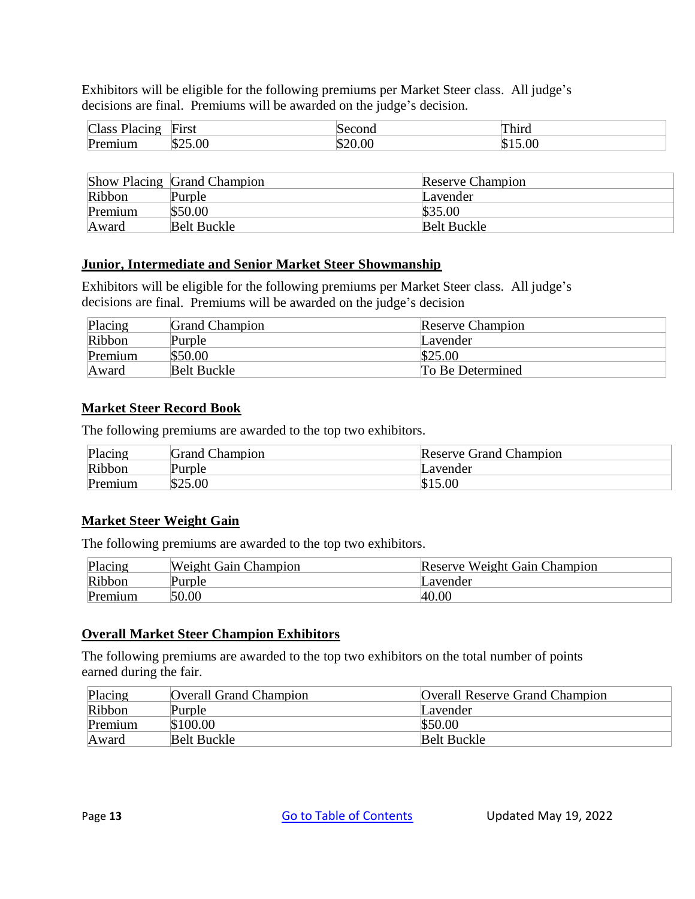Exhibitors will be eligible for the following premiums per Market Steer class. All judge's decisions are final. Premiums will be awarded on the judge's decision.

| $\Gamma$<br>Class<br>lacıng | First        | ''Ill          | Third |
|-----------------------------|--------------|----------------|-------|
| Prf<br>um                   | .UU<br>∴ت∆دا | 00<br>٠Œ<br>ħ. | .00   |

|         | <b>Show Placing Grand Champion</b> | <b>Reserve Champion</b> |
|---------|------------------------------------|-------------------------|
| Ribbon  | Purple                             | Lavender                |
| Premium | \$50.00                            | \$35.00                 |
| Award   | <b>Belt Buckle</b>                 | Belt Buckle             |

#### **Junior, Intermediate and Senior Market Steer Showmanship**

Exhibitors will be eligible for the following premiums per Market Steer class. All judge's decisions are final. Premiums will be awarded on the judge's decision

| Placing | <b>Grand Champion</b> | Reserve Champion |
|---------|-----------------------|------------------|
| Ribbon  | Purple                | Lavender         |
| Premium | \$50.00               | \$25.00          |
| Award   | <b>Belt Buckle</b>    | To Be Determined |

#### **Market Steer Record Book**

The following premiums are awarded to the top two exhibitors*.*

| Placing | <b>Grand Champion</b> | <b>Reserve Grand Champion</b> |
|---------|-----------------------|-------------------------------|
| Ribbon  | urple'                | Lavender                      |
| Premium | \$25.00               | \$15.00                       |

#### **Market Steer Weight Gain**

The following premiums are awarded to the top two exhibitors.

| Placing | <b>Weight Gain Champion</b> | Reserve Weight Gain Champion |
|---------|-----------------------------|------------------------------|
| Ribbon  | Purple                      | Lavender                     |
| Premium | 50.00                       | 40.00                        |

#### **Overall Market Steer Champion Exhibitors**

| Placing | <b>Overall Grand Champion</b> | <b>Overall Reserve Grand Champion</b> |
|---------|-------------------------------|---------------------------------------|
| Ribbon  | Purple                        | Lavender                              |
| Premium | \$100.00                      | \$50.00                               |
| Award   | <b>Belt Buckle</b>            | <b>Belt Buckle</b>                    |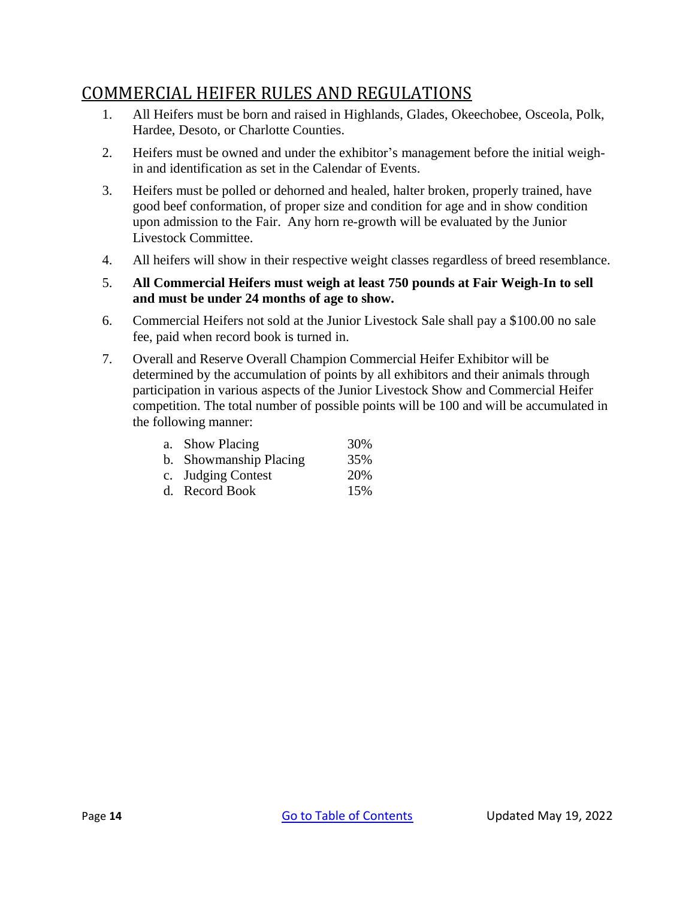# <span id="page-16-0"></span>COMMERCIAL HEIFER RULES AND REGULATIONS

- 1. All Heifers must be born and raised in Highlands, Glades, Okeechobee, Osceola, Polk, Hardee, Desoto, or Charlotte Counties.
- 2. Heifers must be owned and under the exhibitor's management before the initial weighin and identification as set in the Calendar of Events.
- 3. Heifers must be polled or dehorned and healed, halter broken, properly trained, have good beef conformation, of proper size and condition for age and in show condition upon admission to the Fair. Any horn re-growth will be evaluated by the Junior Livestock Committee.
- 4. All heifers will show in their respective weight classes regardless of breed resemblance.
- 5. **All Commercial Heifers must weigh at least 750 pounds at Fair Weigh-In to sell and must be under 24 months of age to show.**
- 6. Commercial Heifers not sold at the Junior Livestock Sale shall pay a \$100.00 no sale fee, paid when record book is turned in.
- 7. Overall and Reserve Overall Champion Commercial Heifer Exhibitor will be determined by the accumulation of points by all exhibitors and their animals through participation in various aspects of the Junior Livestock Show and Commercial Heifer competition. The total number of possible points will be 100 and will be accumulated in the following manner:

| a. Show Placing        | 30% |
|------------------------|-----|
| b. Showmanship Placing | 35% |
| c. Judging Contest     | 20% |
| d. Record Book         | 15% |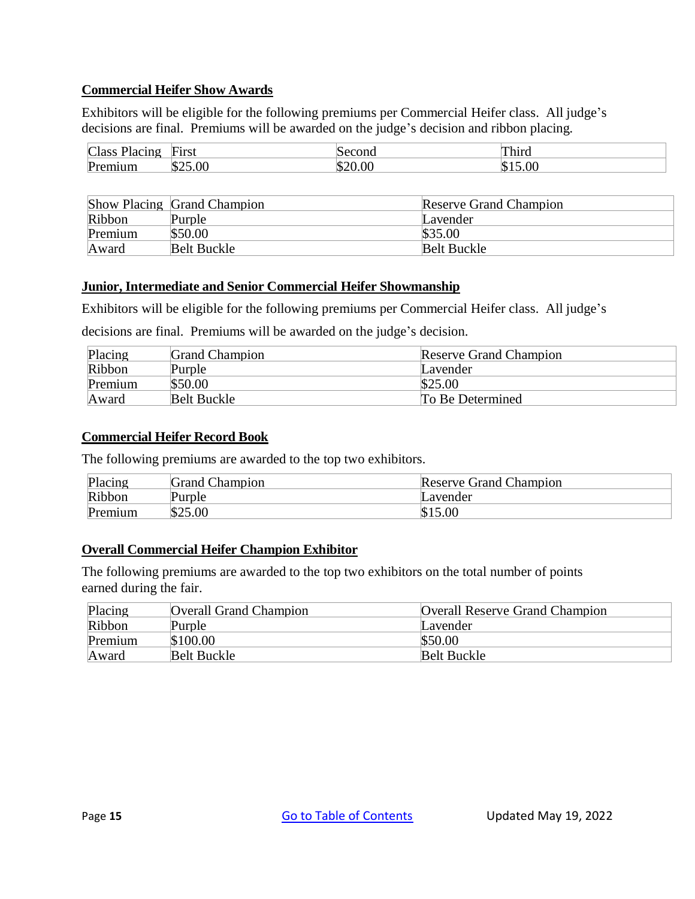#### **Commercial Heifer Show Awards**

Exhibitors will be eligible for the following premiums per Commercial Heifer class. All judge's decisions are final. Premiums will be awarded on the judge's decision and ribbon placing*.*

| <b>Class</b><br>acın 2<br>′iac | First | Second | Third |
|--------------------------------|-------|--------|-------|
| $\mathbf{p_{r}}$               | D.    |        | N     |

|         | <b>Show Placing Grand Champion</b> | <b>Reserve Grand Champion</b> |
|---------|------------------------------------|-------------------------------|
| Ribbon  | Purple                             | Lavender                      |
| Premium | \$50.00                            | \$35.00                       |
| Award   | Belt Buckle                        | <b>Belt Buckle</b>            |

#### **Junior, Intermediate and Senior Commercial Heifer Showmanship**

Exhibitors will be eligible for the following premiums per Commercial Heifer class. All judge's

decisions are final. Premiums will be awarded on the judge's decision.

| Placing | <b>Grand Champion</b> | <b>Reserve Grand Champion</b> |
|---------|-----------------------|-------------------------------|
| Ribbon  | Purple                | Lavender                      |
| Premium | \$50.00               | \$25.00                       |
| Award   | <b>Belt Buckle</b>    | To Be Determined              |

#### **Commercial Heifer Record Book**

The following premiums are awarded to the top two exhibitors*.*

| Placing | <b>Grand Champion</b> | <b>Reserve Grand Champion</b> |
|---------|-----------------------|-------------------------------|
| Ribbon  | Purple                | Lavender                      |
| Premium | \$25.00               | \$15.00                       |

#### **Overall Commercial Heifer Champion Exhibitor**

| Placing | <b>Overall Grand Champion</b> | <b>Overall Reserve Grand Champion</b> |
|---------|-------------------------------|---------------------------------------|
| Ribbon  | Purple                        | Lavender                              |
| Premium | \$100.00                      | \$50.00                               |
| Award   | <b>Belt Buckle</b>            | <b>Belt Buckle</b>                    |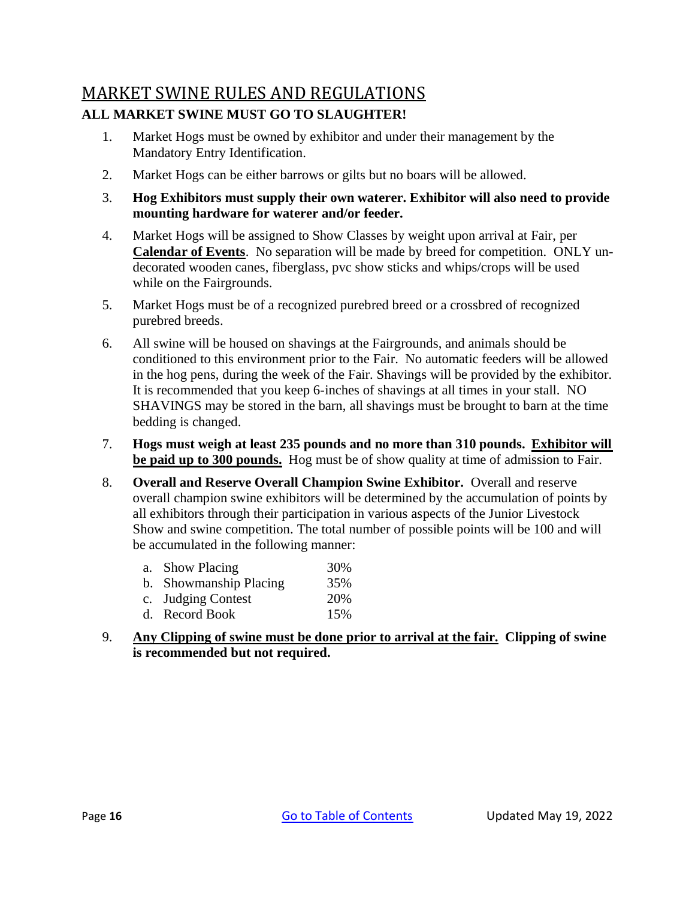# <span id="page-18-0"></span>MARKET SWINE RULES AND REGULATIONS **ALL MARKET SWINE MUST GO TO SLAUGHTER!**

- 1. Market Hogs must be owned by exhibitor and under their management by the Mandatory Entry Identification.
- 2. Market Hogs can be either barrows or gilts but no boars will be allowed.
- 3. **Hog Exhibitors must supply their own waterer. Exhibitor will also need to provide mounting hardware for waterer and/or feeder.**
- 4. Market Hogs will be assigned to Show Classes by weight upon arrival at Fair, per **Calendar of Events**. No separation will be made by breed for competition. ONLY undecorated wooden canes, fiberglass, pvc show sticks and whips/crops will be used while on the Fairgrounds.
- 5. Market Hogs must be of a recognized purebred breed or a crossbred of recognized purebred breeds.
- 6. All swine will be housed on shavings at the Fairgrounds, and animals should be conditioned to this environment prior to the Fair. No automatic feeders will be allowed in the hog pens, during the week of the Fair. Shavings will be provided by the exhibitor. It is recommended that you keep 6-inches of shavings at all times in your stall. NO SHAVINGS may be stored in the barn, all shavings must be brought to barn at the time bedding is changed.
- 7. **Hogs must weigh at least 235 pounds and no more than 310 pounds. Exhibitor will be paid up to 300 pounds.** Hog must be of show quality at time of admission to Fair.
- 8. **Overall and Reserve Overall Champion Swine Exhibitor.** Overall and reserve overall champion swine exhibitors will be determined by the accumulation of points by all exhibitors through their participation in various aspects of the Junior Livestock Show and swine competition. The total number of possible points will be 100 and will be accumulated in the following manner:

|  | a. Show Placing | 30% |
|--|-----------------|-----|
|--|-----------------|-----|

- b. Showmanship Placing 35%
- c. Judging Contest 20%
- d. Record Book 15%
- 9. **Any Clipping of swine must be done prior to arrival at the fair. Clipping of swine is recommended but not required.**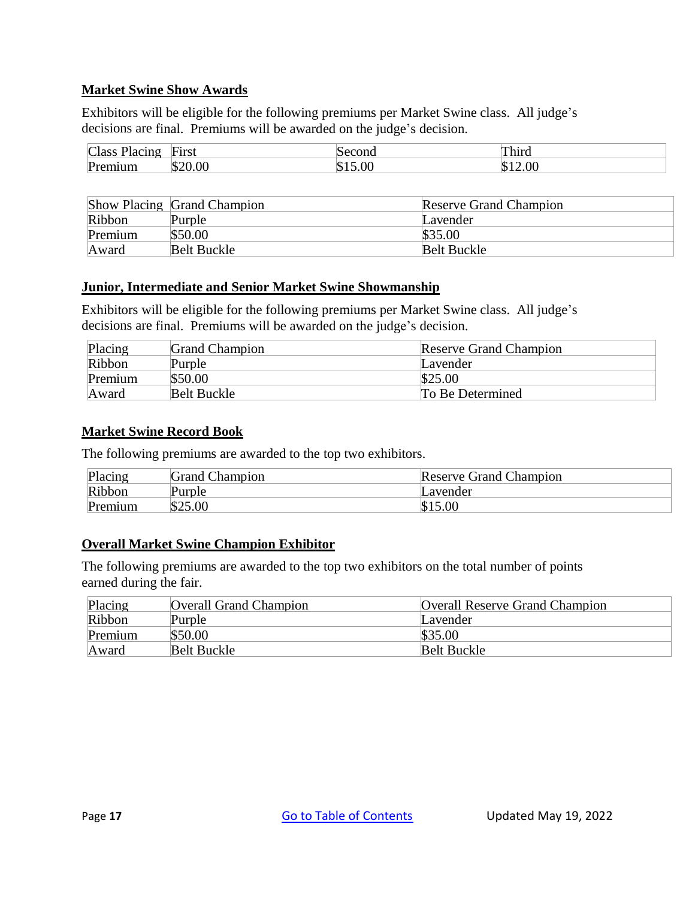#### **Market Swine Show Awards**

Exhibitors will be eligible for the following premiums per Market Swine class. All judge's decisions are final. Premiums will be awarded on the judge's decision.

| $\Gamma$<br>пасс<br>$\sim$ $\sim$<br>ти<br>ш | First |    | `h1r∩<br>$\cdots$ |
|----------------------------------------------|-------|----|-------------------|
| $\mathbf{p_{r}}$                             |       | າເ | K                 |

|         | Show Placing Grand Champion | <b>Reserve Grand Champion</b> |
|---------|-----------------------------|-------------------------------|
| Ribbon  | Purple                      | Lavender                      |
| Premium | \$50.00                     | \$35.00                       |
| Award   | <b>Belt Buckle</b>          | <b>Belt Buckle</b>            |

#### **Junior, Intermediate and Senior Market Swine Showmanship**

Exhibitors will be eligible for the following premiums per Market Swine class. All judge's decisions are final. Premiums will be awarded on the judge's decision.

| Placing | <b>Grand Champion</b> | <b>Reserve Grand Champion</b> |
|---------|-----------------------|-------------------------------|
| Ribbon  | Purple                | Lavender                      |
| Premium | \$50.00               | \$25.00                       |
| Award   | <b>Belt Buckle</b>    | To Be Determined              |

#### **Market Swine Record Book**

The following premiums are awarded to the top two exhibitors*.*

| Placing | <b>Grand Champion</b> | <b>Reserve Grand Champion</b> |
|---------|-----------------------|-------------------------------|
| Ribbon  | urple                 | Lavender                      |
| Premium | \$25.00               | \$15.00                       |

#### **Overall Market Swine Champion Exhibitor**

| Placing | <b>Overall Grand Champion</b> | <b>Overall Reserve Grand Champion</b> |
|---------|-------------------------------|---------------------------------------|
| Ribbon  | Purple                        | Lavender                              |
| Premium | \$50.00                       | \$35.00                               |
| Award   | <b>Belt Buckle</b>            | <b>Belt Buckle</b>                    |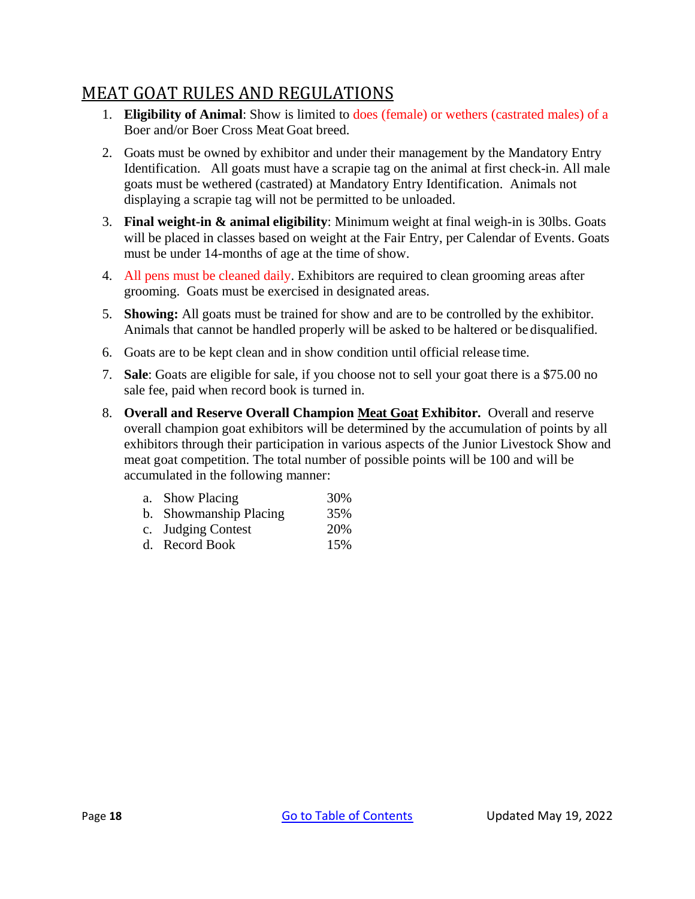# <span id="page-20-0"></span>MEAT GOAT RULES AND REGULATIONS

- 1. **Eligibility of Animal**: Show is limited to does (female) or wethers (castrated males) of a Boer and/or Boer Cross Meat Goat breed.
- 2. Goats must be owned by exhibitor and under their management by the Mandatory Entry Identification. All goats must have a scrapie tag on the animal at first check-in. All male goats must be wethered (castrated) at Mandatory Entry Identification. Animals not displaying a scrapie tag will not be permitted to be unloaded.
- 3. **Final weight-in & animal eligibility**: Minimum weight at final weigh-in is 30lbs. Goats will be placed in classes based on weight at the Fair Entry, per Calendar of Events. Goats must be under 14-months of age at the time of show.
- 4. All pens must be cleaned daily. Exhibitors are required to clean grooming areas after grooming. Goats must be exercised in designated areas.
- 5. **Showing:** All goats must be trained for show and are to be controlled by the exhibitor. Animals that cannot be handled properly will be asked to be haltered or be disqualified.
- 6. Goats are to be kept clean and in show condition until official release time.
- 7. **Sale**: Goats are eligible for sale, if you choose not to sell your goat there is a \$75.00 no sale fee, paid when record book is turned in.
- 8. **Overall and Reserve Overall Champion Meat Goat Exhibitor.** Overall and reserve overall champion goat exhibitors will be determined by the accumulation of points by all exhibitors through their participation in various aspects of the Junior Livestock Show and meat goat competition. The total number of possible points will be 100 and will be accumulated in the following manner:

| a. Show Placing        | 30% |
|------------------------|-----|
| b. Showmanship Placing | 35% |
| c. Judging Contest     | 20% |
| d. Record Book         | 15% |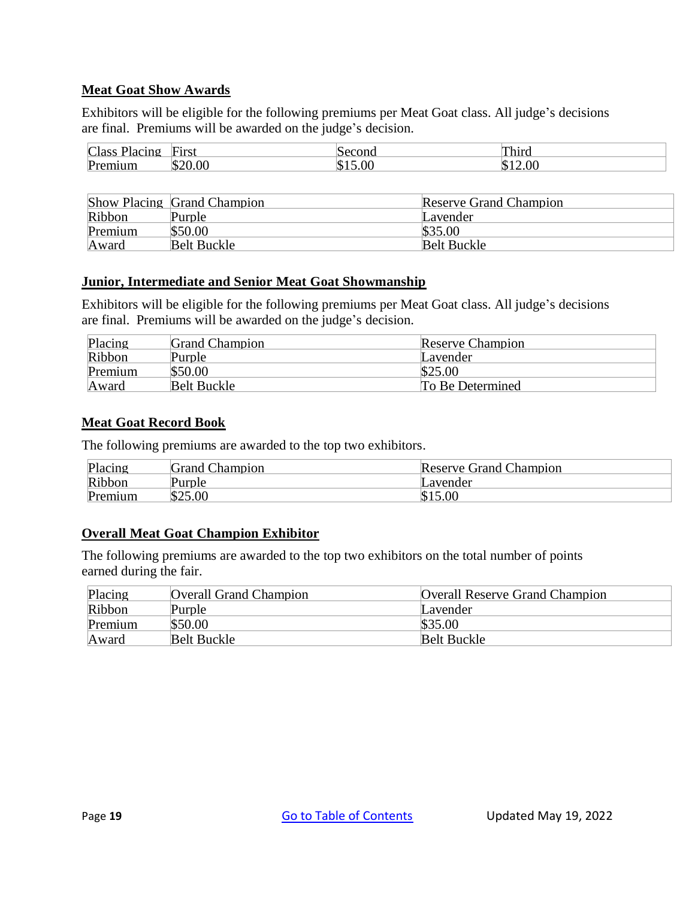#### **Meat Goat Show Awards**

Exhibitors will be eligible for the following premiums per Meat Goat class. All judge's decisions are final. Premiums will be awarded on the judge's decision.

| Class<br>icing<br>тас<br>$\sim$ | First |          | $h_1$<br>тине |
|---------------------------------|-------|----------|---------------|
| Pr<br>uum.                      |       | 00<br>ıα | ΩC            |

|         | <b>Show Placing Grand Champion</b> | Reserve Grand Champion |
|---------|------------------------------------|------------------------|
| Ribbon  | Purple                             | Lavender               |
| Premium | \$50.00                            | \$35.00                |
| Award   | Belt Buckle                        | <b>Belt Buckle</b>     |

#### **Junior, Intermediate and Senior Meat Goat Showmanship**

Exhibitors will be eligible for the following premiums per Meat Goat class. All judge's decisions are final. Premiums will be awarded on the judge's decision.

| Placing | <b>Grand Champion</b> | Reserve Champion |
|---------|-----------------------|------------------|
| Ribbon  | Purple                | Lavender         |
| Premium | \$50.00               | \$25.00          |
| Award   | <b>Belt Buckle</b>    | To Be Determined |

#### **Meat Goat Record Book**

The following premiums are awarded to the top two exhibitors.

| Placing | <b>Grand Champion</b> | <b>Reserve Grand Champion</b> |
|---------|-----------------------|-------------------------------|
| Ribbon  | Purple                | ∟avender                      |
| Premium | \$25.00               | \$15.00                       |

#### **Overall Meat Goat Champion Exhibitor**

| Placing | <b>Overall Grand Champion</b> | <b>Overall Reserve Grand Champion</b> |
|---------|-------------------------------|---------------------------------------|
| Ribbon  | Purple                        | Lavender                              |
| Premium | \$50.00                       | \$35.00                               |
| Award   | <b>Belt Buckle</b>            | Belt Buckle                           |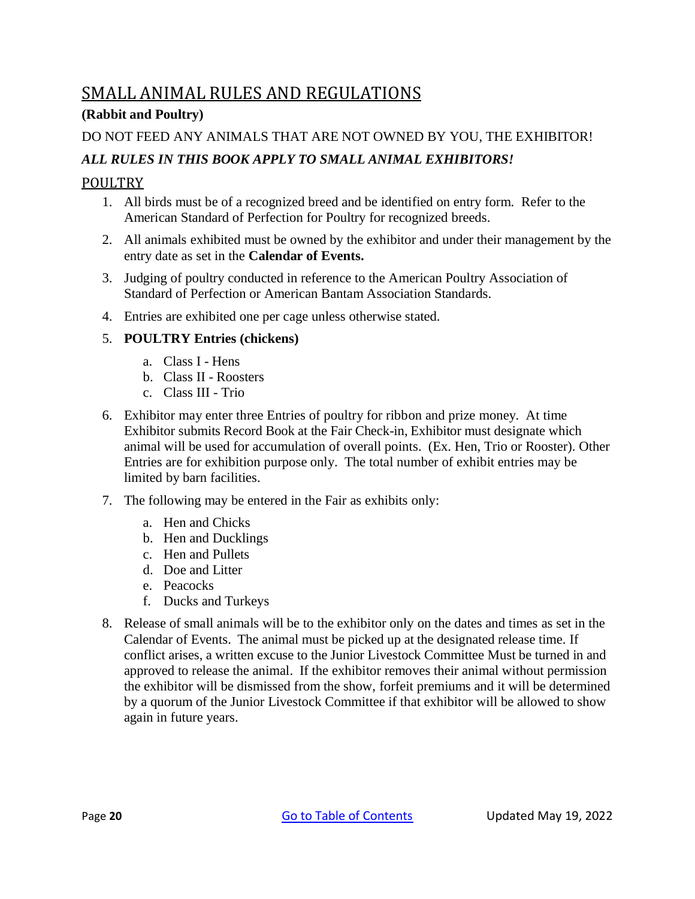# <span id="page-22-0"></span>SMALL ANIMAL RULES AND REGULATIONS

## **(Rabbit and Poultry)**

## DO NOT FEED ANY ANIMALS THAT ARE NOT OWNED BY YOU, THE EXHIBITOR!

## *ALL RULES IN THIS BOOK APPLY TO SMALL ANIMAL EXHIBITORS!*

## <span id="page-22-1"></span>POULTRY

- 1. All birds must be of a recognized breed and be identified on entry form. Refer to the American Standard of Perfection for Poultry for recognized breeds.
- 2. All animals exhibited must be owned by the exhibitor and under their management by the entry date as set in the **Calendar of Events.**
- 3. Judging of poultry conducted in reference to the American Poultry Association of Standard of Perfection or American Bantam Association Standards.
- 4. Entries are exhibited one per cage unless otherwise stated.

## 5. **POULTRY Entries (chickens)**

- a. Class I Hens
- b. Class II Roosters
- c. Class III Trio
- 6. Exhibitor may enter three Entries of poultry for ribbon and prize money. At time Exhibitor submits Record Book at the Fair Check-in, Exhibitor must designate which animal will be used for accumulation of overall points. (Ex. Hen, Trio or Rooster). Other Entries are for exhibition purpose only. The total number of exhibit entries may be limited by barn facilities.
- 7. The following may be entered in the Fair as exhibits only:
	- a. Hen and Chicks
	- b. Hen and Ducklings
	- c. Hen and Pullets
	- d. Doe and Litter
	- e. Peacocks
	- f. Ducks and Turkeys
- 8. Release of small animals will be to the exhibitor only on the dates and times as set in the Calendar of Events. The animal must be picked up at the designated release time. If conflict arises, a written excuse to the Junior Livestock Committee Must be turned in and approved to release the animal. If the exhibitor removes their animal without permission the exhibitor will be dismissed from the show, forfeit premiums and it will be determined by a quorum of the Junior Livestock Committee if that exhibitor will be allowed to show again in future years.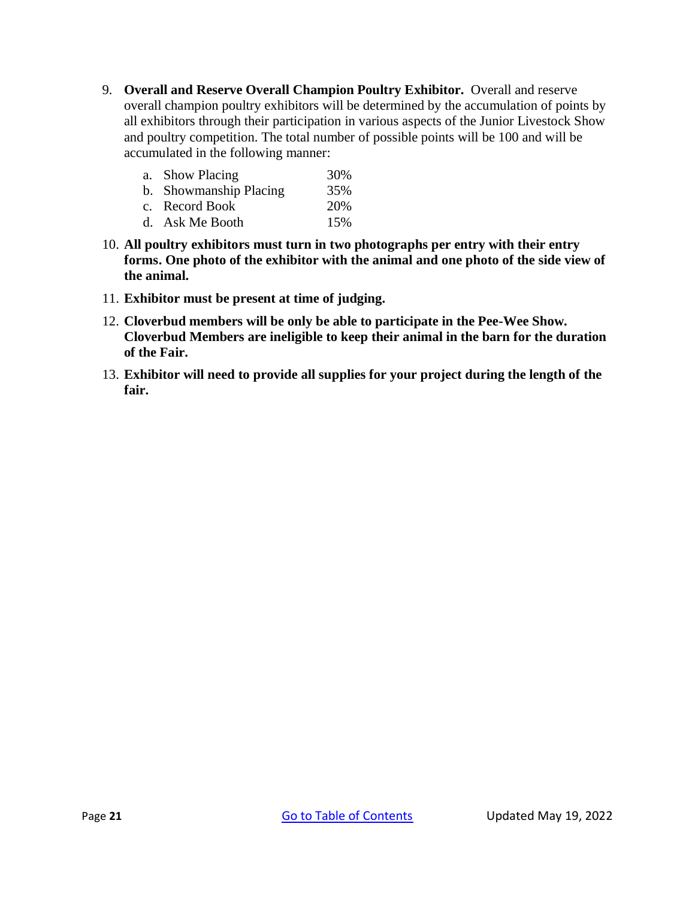9. **Overall and Reserve Overall Champion Poultry Exhibitor.** Overall and reserve overall champion poultry exhibitors will be determined by the accumulation of points by all exhibitors through their participation in various aspects of the Junior Livestock Show and poultry competition. The total number of possible points will be 100 and will be accumulated in the following manner:

| a. Show Placing        | 30% |
|------------------------|-----|
| b. Showmanship Placing | 35% |
| c. Record Book         | 20% |
| d. Ask Me Booth        | 15% |

- 10. **All poultry exhibitors must turn in two photographs per entry with their entry forms. One photo of the exhibitor with the animal and one photo of the side view of the animal.**
- 11. **Exhibitor must be present at time of judging.**
- 12. **Cloverbud members will be only be able to participate in the Pee-Wee Show. Cloverbud Members are ineligible to keep their animal in the barn for the duration of the Fair.**
- 13. **Exhibitor will need to provide all supplies for your project during the length of the fair.**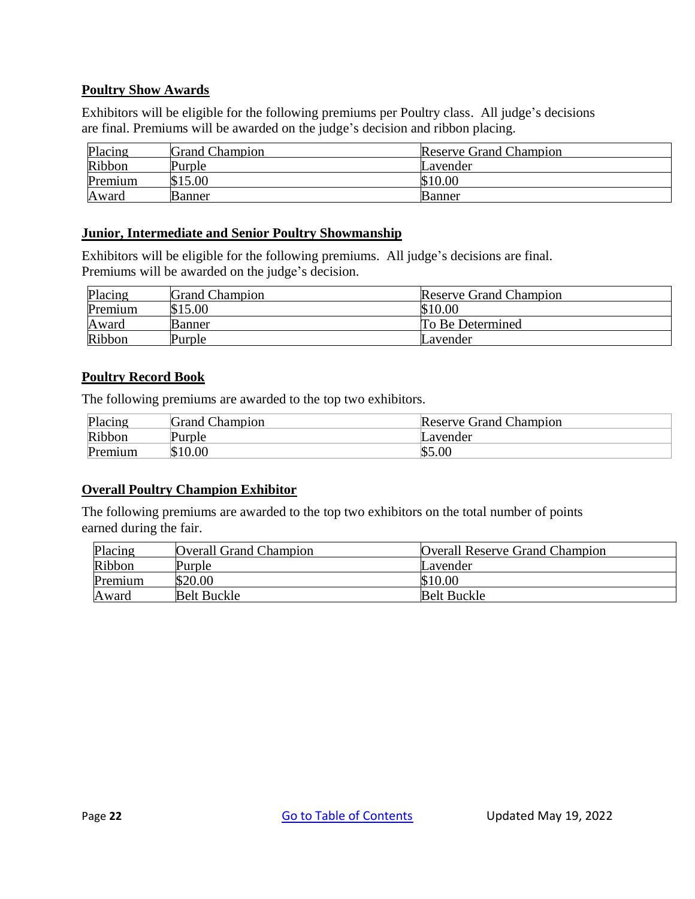#### **Poultry Show Awards**

Exhibitors will be eligible for the following premiums per Poultry class. All judge's decisions are final. Premiums will be awarded on the judge's decision and ribbon placing.

| Placing | <b>Grand Champion</b> | <b>Reserve Grand Champion</b> |
|---------|-----------------------|-------------------------------|
| Ribbon  | Purple                | Lavender                      |
| Premium | \$15.00               | \$10.00                       |
| Award   | <b>Banner</b>         | Banner                        |

#### **Junior, Intermediate and Senior Poultry Showmanship**

Exhibitors will be eligible for the following premiums. All judge's decisions are final. Premiums will be awarded on the judge's decision.

| Placing | <b>Grand Champion</b> | <b>Reserve Grand Champion</b> |
|---------|-----------------------|-------------------------------|
| Premium | \$15.00               | \$10.00                       |
| Award   | Banner                | To Be Determined              |
| Ribbon  | Purple                | Lavender                      |

#### **Poultry Record Book**

The following premiums are awarded to the top two exhibitors*.*

| Placing | <b>Grand Champion</b> | <b>Reserve Grand Champion</b> |
|---------|-----------------------|-------------------------------|
| Ribbon  | Purple                | Lavender                      |
| Premium | \$10.00               | \$5.00                        |

#### **Overall Poultry Champion Exhibitor**

| Placing | <b>Overall Grand Champion</b> | <b>Overall Reserve Grand Champion</b> |
|---------|-------------------------------|---------------------------------------|
| Ribbon  | Purple                        | Lavender                              |
| Premium | \$20.00                       | \$10.00                               |
| Award   | <b>Belt Buckle</b>            | <b>Belt Buckle</b>                    |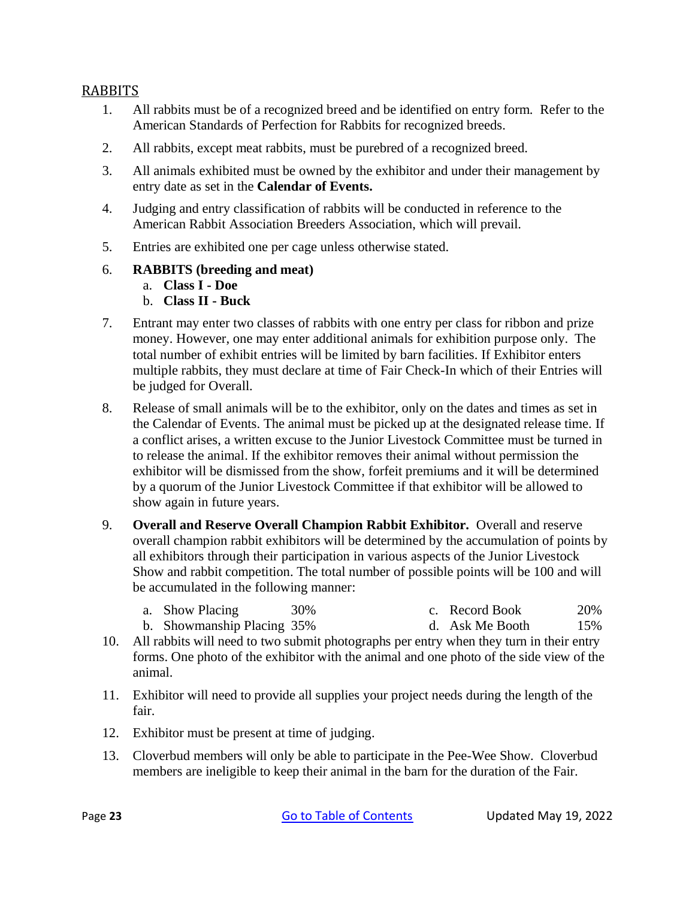### <span id="page-25-0"></span>RABBITS

- 1. All rabbits must be of a recognized breed and be identified on entry form. Refer to the American Standards of Perfection for Rabbits for recognized breeds.
- 2. All rabbits, except meat rabbits, must be purebred of a recognized breed.
- 3. All animals exhibited must be owned by the exhibitor and under their management by entry date as set in the **Calendar of Events.**
- 4. Judging and entry classification of rabbits will be conducted in reference to the American Rabbit Association Breeders Association, which will prevail.
- 5. Entries are exhibited one per cage unless otherwise stated.

#### 6. **RABBITS (breeding and meat)**

- a. **Class I - Doe**
- b. **Class II - Buck**
- 7. Entrant may enter two classes of rabbits with one entry per class for ribbon and prize money. However, one may enter additional animals for exhibition purpose only. The total number of exhibit entries will be limited by barn facilities. If Exhibitor enters multiple rabbits, they must declare at time of Fair Check-In which of their Entries will be judged for Overall.
- 8. Release of small animals will be to the exhibitor, only on the dates and times as set in the Calendar of Events. The animal must be picked up at the designated release time. If a conflict arises, a written excuse to the Junior Livestock Committee must be turned in to release the animal. If the exhibitor removes their animal without permission the exhibitor will be dismissed from the show, forfeit premiums and it will be determined by a quorum of the Junior Livestock Committee if that exhibitor will be allowed to show again in future years.
- 9. **Overall and Reserve Overall Champion Rabbit Exhibitor.** Overall and reserve overall champion rabbit exhibitors will be determined by the accumulation of points by all exhibitors through their participation in various aspects of the Junior Livestock Show and rabbit competition. The total number of possible points will be 100 and will be accumulated in the following manner:
	- a. Show Placing 30% c. Record Book 20%
	- b. Showmanship Placing 35% d. Ask Me Booth 15%
- 10. All rabbits will need to two submit photographs per entry when they turn in their entry forms. One photo of the exhibitor with the animal and one photo of the side view of the animal.
- 11. Exhibitor will need to provide all supplies your project needs during the length of the fair.
- 12. Exhibitor must be present at time of judging.
- 13. Cloverbud members will only be able to participate in the Pee-Wee Show. Cloverbud members are ineligible to keep their animal in the barn for the duration of the Fair.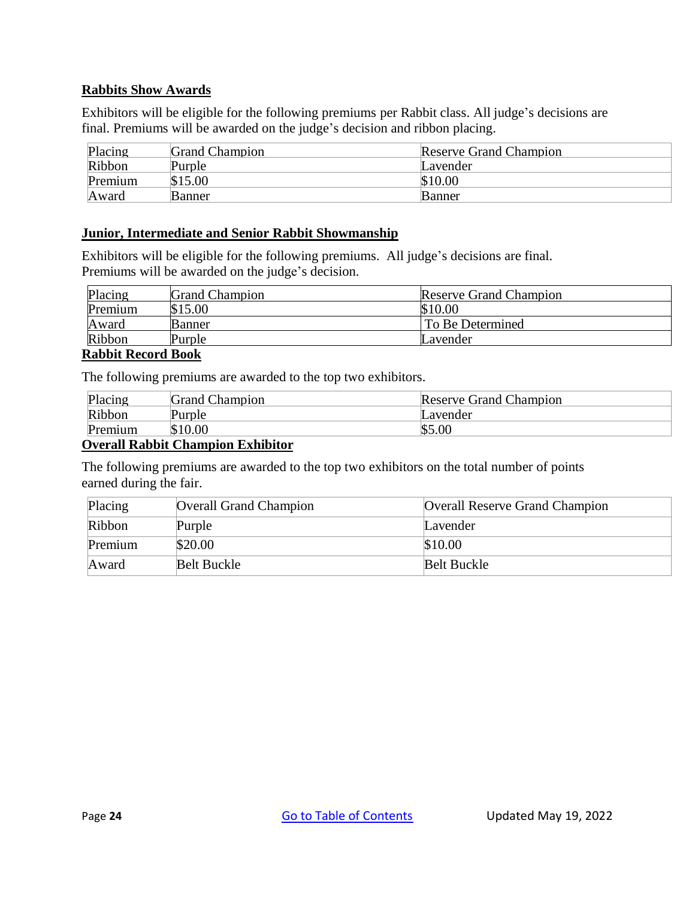#### **Rabbits Show Awards**

Exhibitors will be eligible for the following premiums per Rabbit class. All judge's decisions are final. Premiums will be awarded on the judge's decision and ribbon placing.

| Placing | <b>Grand Champion</b> | <b>Reserve Grand Champion</b> |
|---------|-----------------------|-------------------------------|
| Ribbon  | Purple                | Lavender                      |
| Premium | \$15.00               | \$10.00                       |
| Award   | Banner                | <b>Banner</b>                 |

#### **Junior, Intermediate and Senior Rabbit Showmanship**

Exhibitors will be eligible for the following premiums. All judge's decisions are final. Premiums will be awarded on the judge's decision.

| Placing                   | <b>Grand Champion</b> | <b>Reserve Grand Champion</b> |  |
|---------------------------|-----------------------|-------------------------------|--|
| Premium                   | \$15.00               | \$10.00                       |  |
| Award                     | <b>Banner</b>         | To Be Determined              |  |
| Ribbon                    | Purple                | Lavender                      |  |
| <b>Rabbit Record Book</b> |                       |                               |  |

The following premiums are awarded to the top two exhibitors*.*

| Placing | Grand Champion | <b>Reserve Grand Champion</b> |
|---------|----------------|-------------------------------|
| Ribbon  | Purple         | Lavender                      |
| Premium | \$10.00        | \$5.00                        |

#### **Overall Rabbit Champion Exhibitor**

| Placing | <b>Overall Grand Champion</b> | <b>Overall Reserve Grand Champion</b> |
|---------|-------------------------------|---------------------------------------|
| Ribbon  | Purple                        | Lavender                              |
| Premium | \$20.00                       | \$10.00                               |
| Award   | <b>Belt Buckle</b>            | Belt Buckle                           |